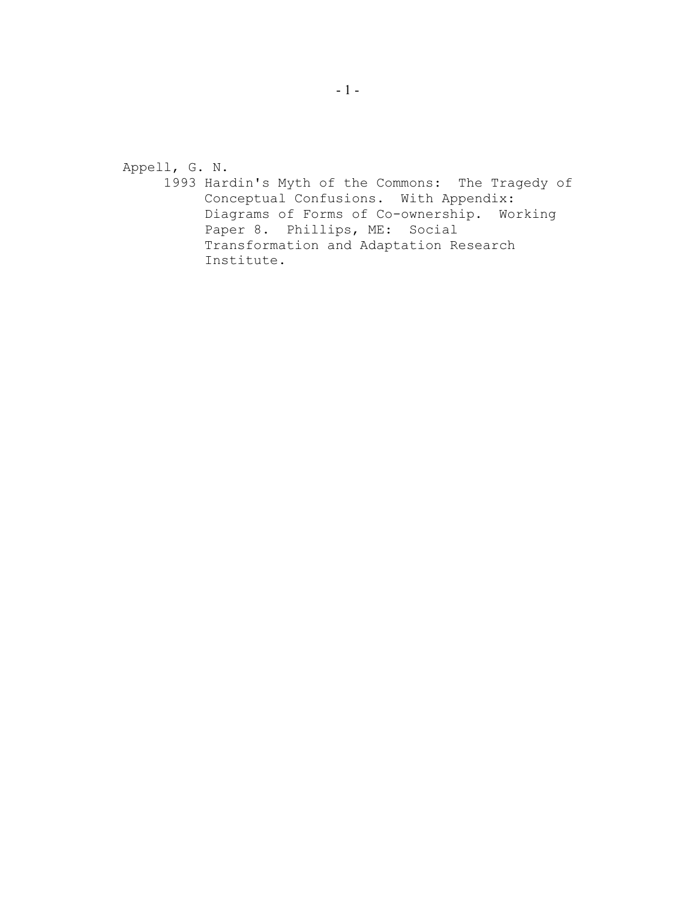Appell, G. N.

1993 Hardin's Myth of the Commons: The Tragedy of Conceptual Confusions. With Appendix: Diagrams of Forms of Co-ownership. Working Paper 8. Phillips, ME: Social Transformation and Adaptation Research Institute.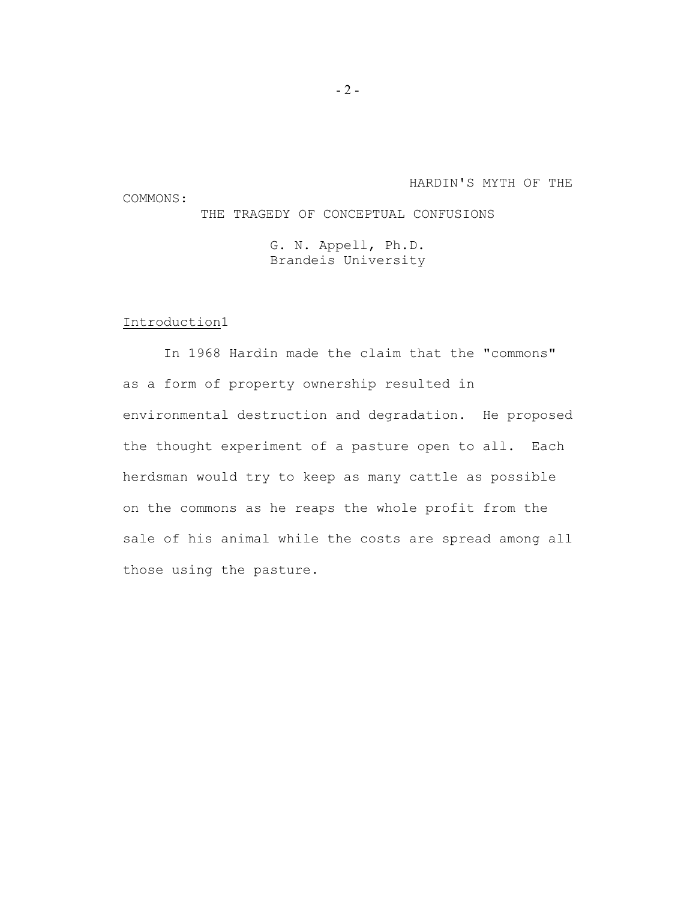### HARDIN'S MYTH OF THE

## THE TRAGEDY OF CONCEPTUAL CONFUSIONS

G. N. Appell, Ph.D. Brandeis University

### Introduction1

COMMONS:

In 1968 Hardin made the claim that the "commons" as a form of property ownership resulted in environmental destruction and degradation. He proposed the thought experiment of a pasture open to all. Each herdsman would try to keep as many cattle as possible on the commons as he reaps the whole profit from the sale of his animal while the costs are spread among all those using the pasture.

 $-2-$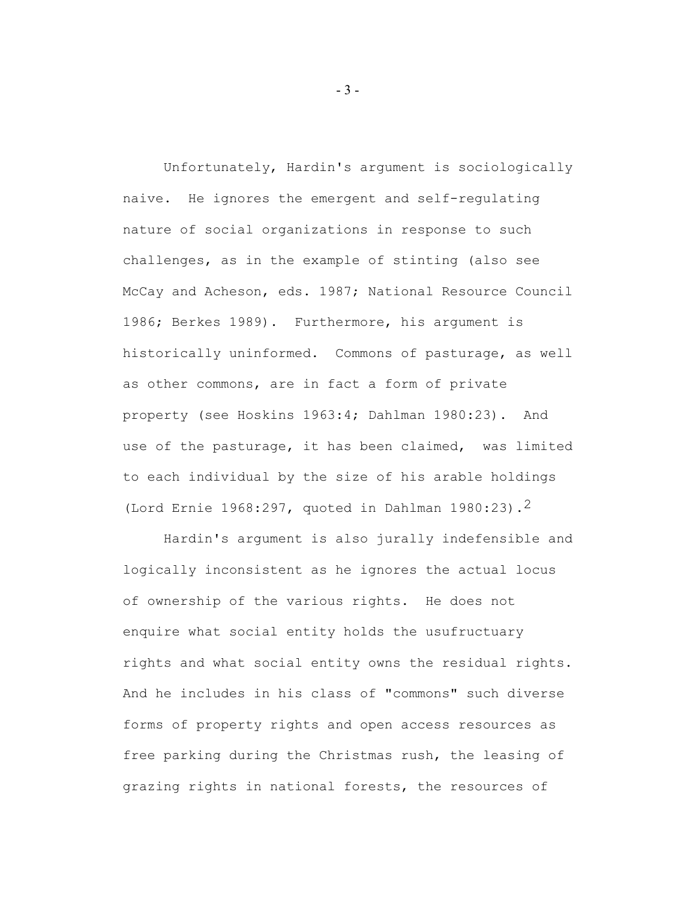Unfortunately, Hardin's argument is sociologically naive. He ignores the emergent and self-regulating nature of social organizations in response to such challenges, as in the example of stinting (also see McCay and Acheson, eds. 1987; National Resource Council 1986; Berkes 1989). Furthermore, his argument is historically uninformed. Commons of pasturage, as well as other commons, are in fact a form of private property (see Hoskins 1963:4; Dahlman 1980:23). And use of the pasturage, it has been claimed, was limited to each individual by the size of his arable holdings (Lord Ernie 1968:297, quoted in Dahlman 1980:23).2

Hardin's argument is also jurally indefensible and logically inconsistent as he ignores the actual locus of ownership of the various rights. He does not enquire what social entity holds the usufructuary rights and what social entity owns the residual rights. And he includes in his class of "commons" such diverse forms of property rights and open access resources as free parking during the Christmas rush, the leasing of grazing rights in national forests, the resources of

- 3 -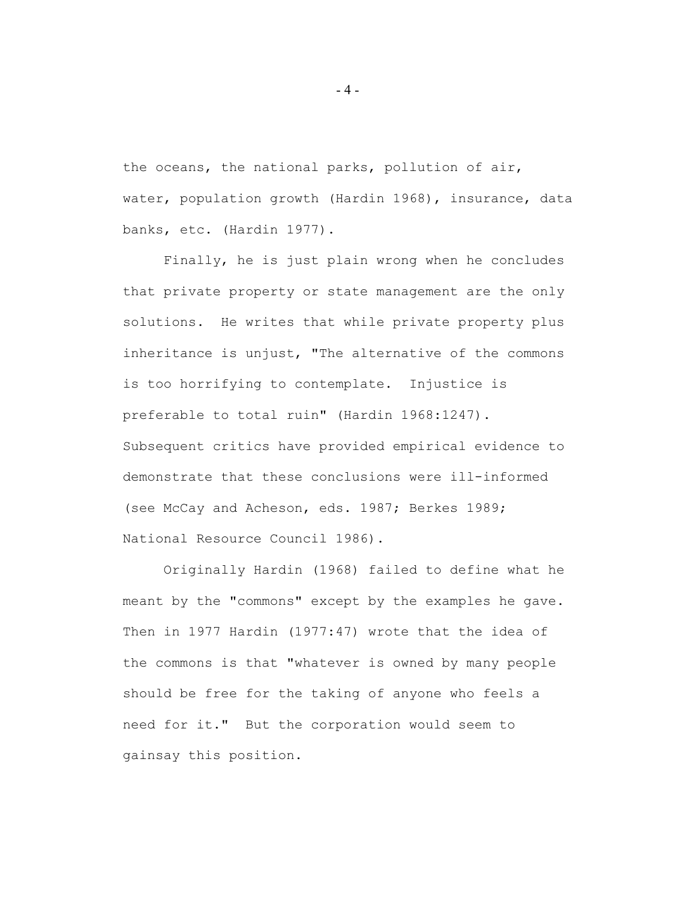the oceans, the national parks, pollution of air, water, population growth (Hardin 1968), insurance, data banks, etc. (Hardin 1977).

Finally, he is just plain wrong when he concludes that private property or state management are the only solutions. He writes that while private property plus inheritance is unjust, "The alternative of the commons is too horrifying to contemplate. Injustice is preferable to total ruin" (Hardin 1968:1247). Subsequent critics have provided empirical evidence to demonstrate that these conclusions were ill-informed (see McCay and Acheson, eds. 1987; Berkes 1989; National Resource Council 1986).

Originally Hardin (1968) failed to define what he meant by the "commons" except by the examples he gave. Then in 1977 Hardin (1977:47) wrote that the idea of the commons is that "whatever is owned by many people should be free for the taking of anyone who feels a need for it." But the corporation would seem to gainsay this position.

- 4 -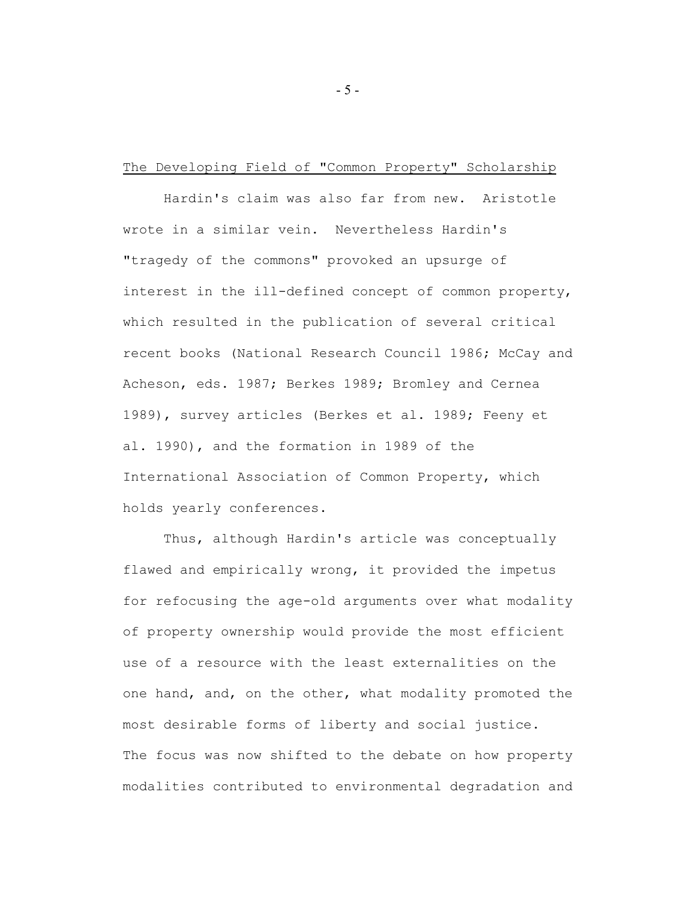### The Developing Field of "Common Property" Scholarship

Hardin's claim was also far from new. Aristotle wrote in a similar vein. Nevertheless Hardin's "tragedy of the commons" provoked an upsurge of interest in the ill-defined concept of common property, which resulted in the publication of several critical recent books (National Research Council 1986; McCay and Acheson, eds. 1987; Berkes 1989; Bromley and Cernea 1989), survey articles (Berkes et al. 1989; Feeny et al. 1990), and the formation in 1989 of the International Association of Common Property, which holds yearly conferences.

Thus, although Hardin's article was conceptually flawed and empirically wrong, it provided the impetus for refocusing the age-old arguments over what modality of property ownership would provide the most efficient use of a resource with the least externalities on the one hand, and, on the other, what modality promoted the most desirable forms of liberty and social justice. The focus was now shifted to the debate on how property modalities contributed to environmental degradation and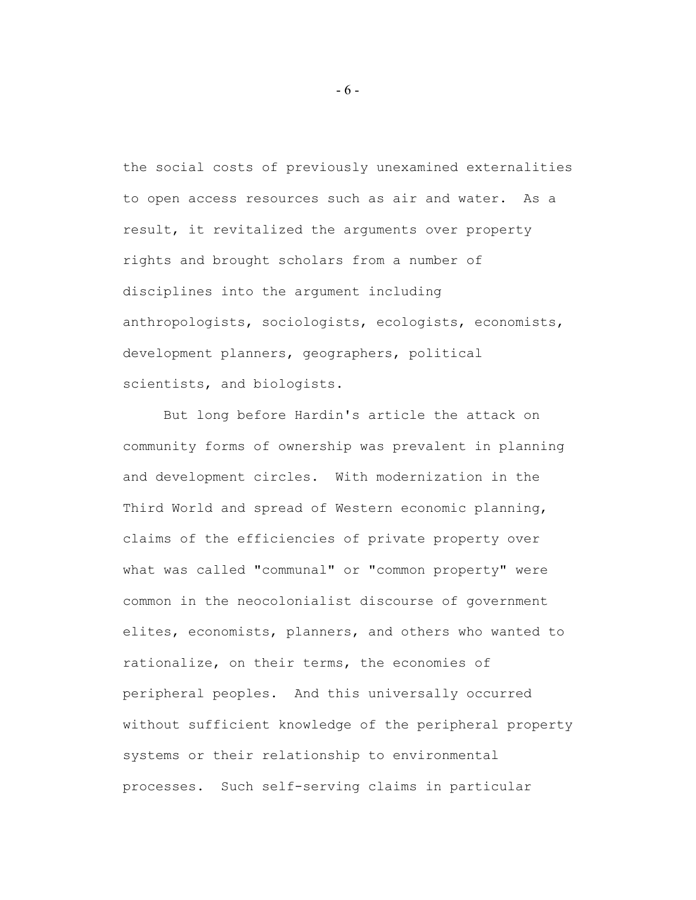the social costs of previously unexamined externalities to open access resources such as air and water. As a result, it revitalized the arguments over property rights and brought scholars from a number of disciplines into the argument including anthropologists, sociologists, ecologists, economists, development planners, geographers, political scientists, and biologists.

But long before Hardin's article the attack on community forms of ownership was prevalent in planning and development circles. With modernization in the Third World and spread of Western economic planning, claims of the efficiencies of private property over what was called "communal" or "common property" were common in the neocolonialist discourse of government elites, economists, planners, and others who wanted to rationalize, on their terms, the economies of peripheral peoples. And this universally occurred without sufficient knowledge of the peripheral property systems or their relationship to environmental processes. Such self-serving claims in particular

- 6 -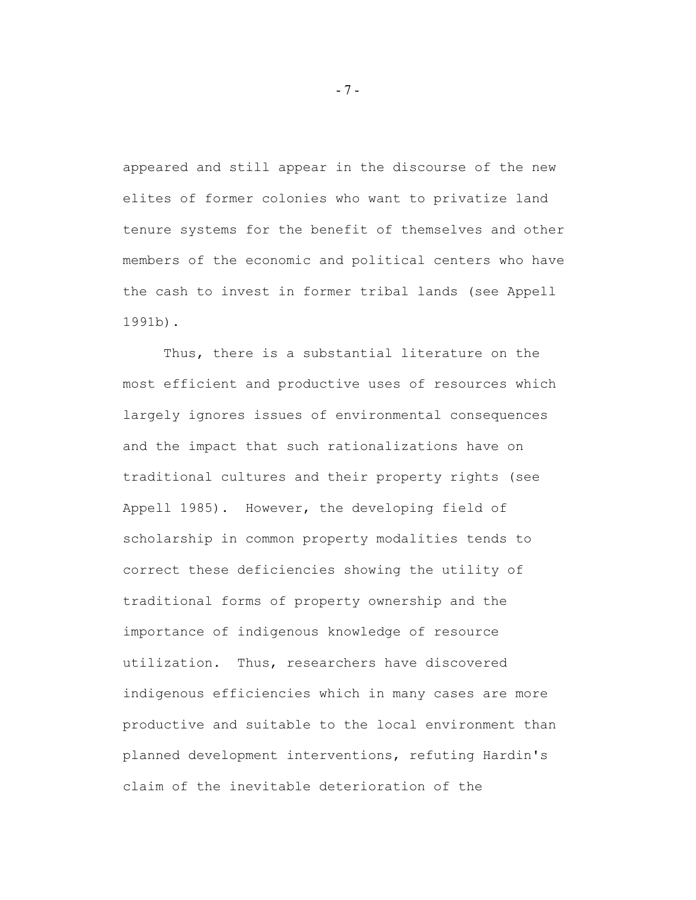appeared and still appear in the discourse of the new elites of former colonies who want to privatize land tenure systems for the benefit of themselves and other members of the economic and political centers who have the cash to invest in former tribal lands (see Appell 1991b).

Thus, there is a substantial literature on the most efficient and productive uses of resources which largely ignores issues of environmental consequences and the impact that such rationalizations have on traditional cultures and their property rights (see Appell 1985). However, the developing field of scholarship in common property modalities tends to correct these deficiencies showing the utility of traditional forms of property ownership and the importance of indigenous knowledge of resource utilization. Thus, researchers have discovered indigenous efficiencies which in many cases are more productive and suitable to the local environment than planned development interventions, refuting Hardin's claim of the inevitable deterioration of the

- 7 -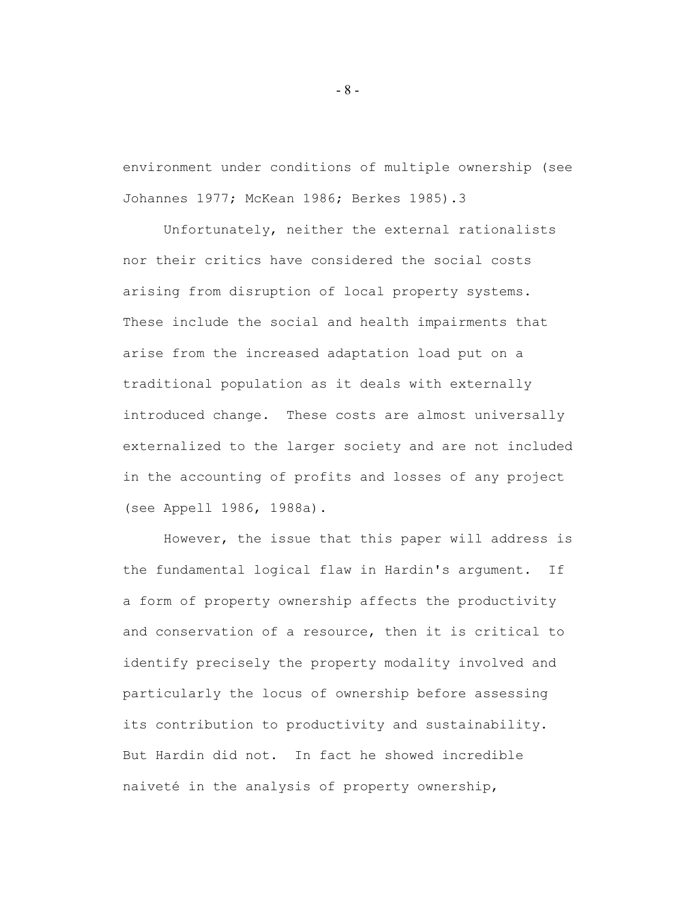environment under conditions of multiple ownership (see Johannes 1977; McKean 1986; Berkes 1985).3

Unfortunately, neither the external rationalists nor their critics have considered the social costs arising from disruption of local property systems. These include the social and health impairments that arise from the increased adaptation load put on a traditional population as it deals with externally introduced change. These costs are almost universally externalized to the larger society and are not included in the accounting of profits and losses of any project (see Appell 1986, 1988a).

However, the issue that this paper will address is the fundamental logical flaw in Hardin's argument. If a form of property ownership affects the productivity and conservation of a resource, then it is critical to identify precisely the property modality involved and particularly the locus of ownership before assessing its contribution to productivity and sustainability. But Hardin did not. In fact he showed incredible naiveté in the analysis of property ownership,

- 8 -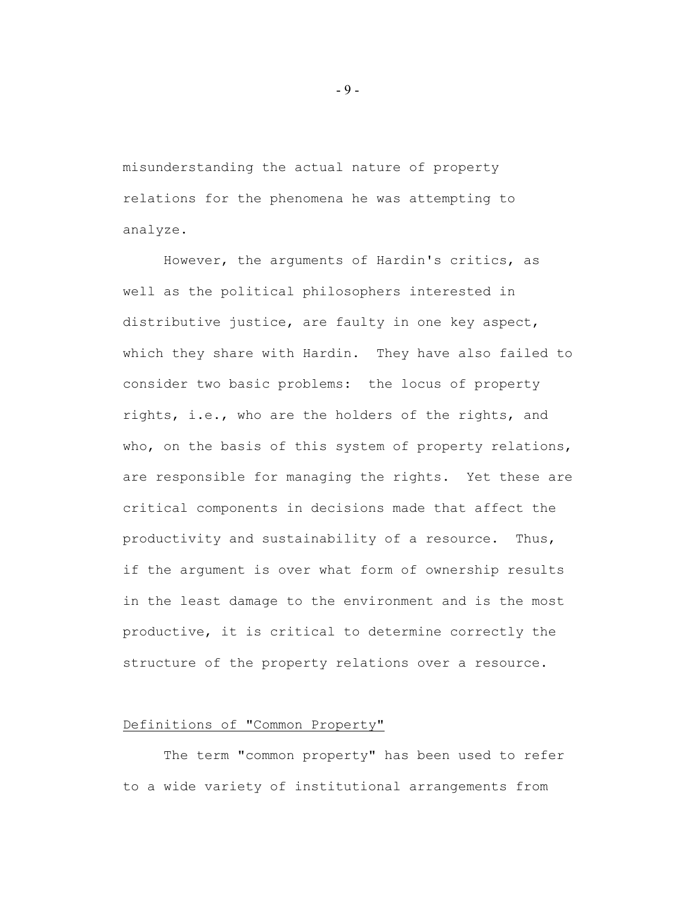misunderstanding the actual nature of property relations for the phenomena he was attempting to analyze.

However, the arguments of Hardin's critics, as well as the political philosophers interested in distributive justice, are faulty in one key aspect, which they share with Hardin. They have also failed to consider two basic problems: the locus of property rights, i.e., who are the holders of the rights, and who, on the basis of this system of property relations, are responsible for managing the rights. Yet these are critical components in decisions made that affect the productivity and sustainability of a resource. Thus, if the argument is over what form of ownership results in the least damage to the environment and is the most productive, it is critical to determine correctly the structure of the property relations over a resource.

### Definitions of "Common Property"

The term "common property" has been used to refer to a wide variety of institutional arrangements from

- 9 -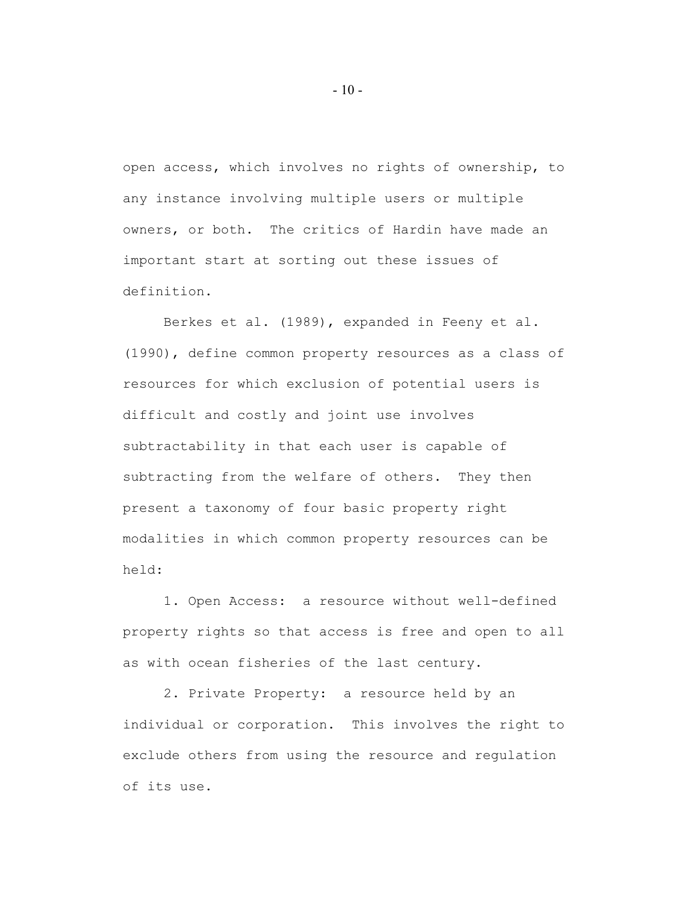open access, which involves no rights of ownership, to any instance involving multiple users or multiple owners, or both. The critics of Hardin have made an important start at sorting out these issues of definition.

Berkes et al. (1989), expanded in Feeny et al. (1990), define common property resources as a class of resources for which exclusion of potential users is difficult and costly and joint use involves subtractability in that each user is capable of subtracting from the welfare of others. They then present a taxonomy of four basic property right modalities in which common property resources can be held:

1. Open Access: a resource without well-defined property rights so that access is free and open to all as with ocean fisheries of the last century.

2. Private Property: a resource held by an individual or corporation. This involves the right to exclude others from using the resource and regulation of its use.

 $-10-$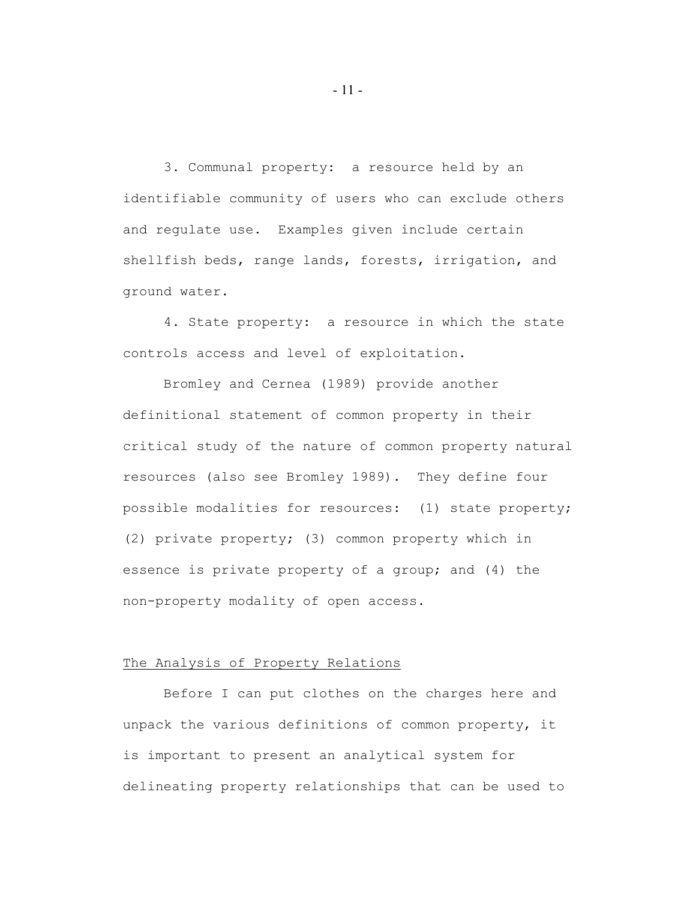3. Communal property: a resource held by an identifiable community of users who can exclude others and regulate use. Examples given include certain shellfish beds, range lands, forests, irrigation, and ground water.

4. State property: a resource in which the state controls access and level of exploitation.

Bromley and Cernea (1989) provide another definitional statement of common property in their critical study of the nature of common property natural resources (also see Bromley 1989). They define four possible modalities for resources: (1) state property; (2) private property; (3) common property which in essence is private property of a group; and (4) the non-property modality of open access.

### The Analysis of Property Relations

Before I can put clothes on the charges here and unpack the various definitions of common property, it is important to present an analytical system for delineating property relationships that can be used to

- 11 -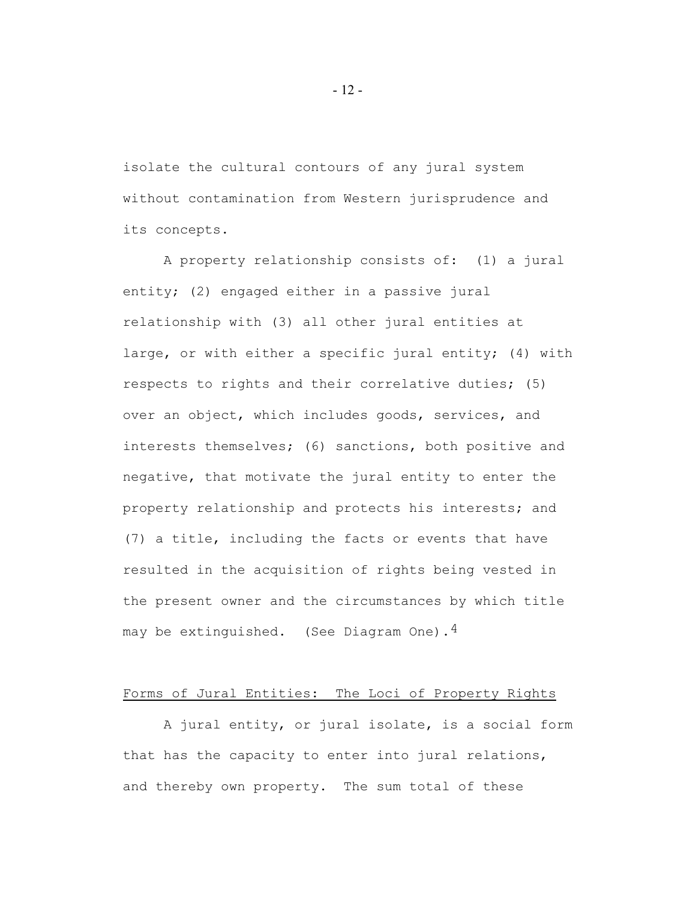isolate the cultural contours of any jural system without contamination from Western jurisprudence and its concepts.

A property relationship consists of: (1) a jural entity; (2) engaged either in a passive jural relationship with (3) all other jural entities at large, or with either a specific jural entity; (4) with respects to rights and their correlative duties; (5) over an object, which includes goods, services, and interests themselves; (6) sanctions, both positive and negative, that motivate the jural entity to enter the property relationship and protects his interests; and (7) a title, including the facts or events that have resulted in the acquisition of rights being vested in the present owner and the circumstances by which title may be extinguished. (See Diagram One).<sup>4</sup>

### Forms of Jural Entities: The Loci of Property Rights

A jural entity, or jural isolate, is a social form that has the capacity to enter into jural relations, and thereby own property. The sum total of these

- 12 -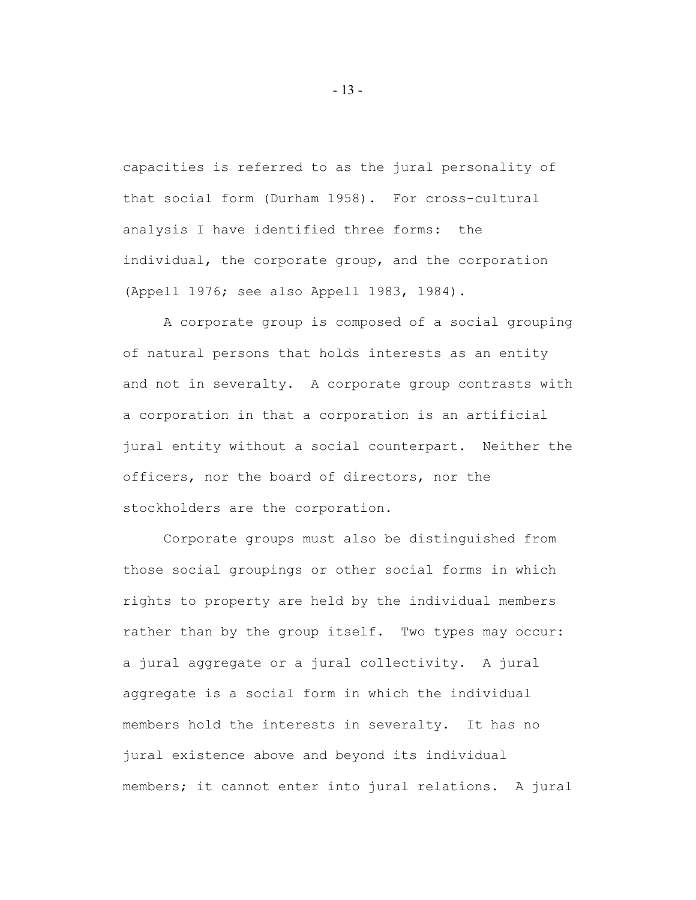capacities is referred to as the jural personality of that social form (Durham 1958). For cross-cultural analysis I have identified three forms: the individual, the corporate group, and the corporation (Appell 1976; see also Appell 1983, 1984).

A corporate group is composed of a social grouping of natural persons that holds interests as an entity and not in severalty. A corporate group contrasts with a corporation in that a corporation is an artificial jural entity without a social counterpart. Neither the officers, nor the board of directors, nor the stockholders are the corporation.

Corporate groups must also be distinguished from those social groupings or other social forms in which rights to property are held by the individual members rather than by the group itself. Two types may occur: a jural aggregate or a jural collectivity. A jural aggregate is a social form in which the individual members hold the interests in severalty. It has no jural existence above and beyond its individual members; it cannot enter into jural relations. A jural

- 13 -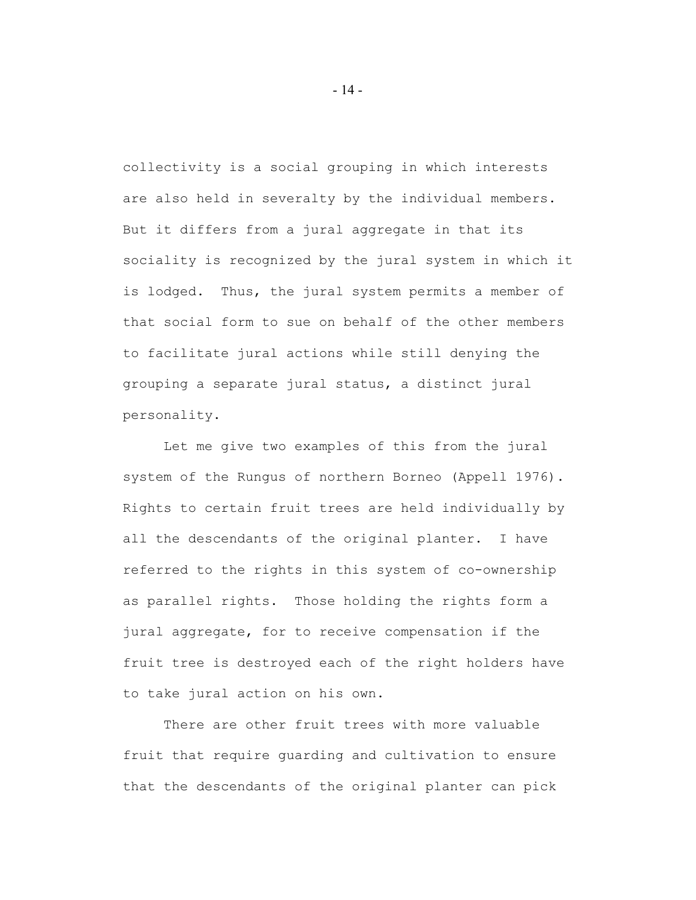collectivity is a social grouping in which interests are also held in severalty by the individual members. But it differs from a jural aggregate in that its sociality is recognized by the jural system in which it is lodged. Thus, the jural system permits a member of that social form to sue on behalf of the other members to facilitate jural actions while still denying the grouping a separate jural status, a distinct jural personality.

Let me give two examples of this from the jural system of the Rungus of northern Borneo (Appell 1976). Rights to certain fruit trees are held individually by all the descendants of the original planter. I have referred to the rights in this system of co-ownership as parallel rights. Those holding the rights form a jural aggregate, for to receive compensation if the fruit tree is destroyed each of the right holders have to take jural action on his own.

There are other fruit trees with more valuable fruit that require guarding and cultivation to ensure that the descendants of the original planter can pick

- 14 -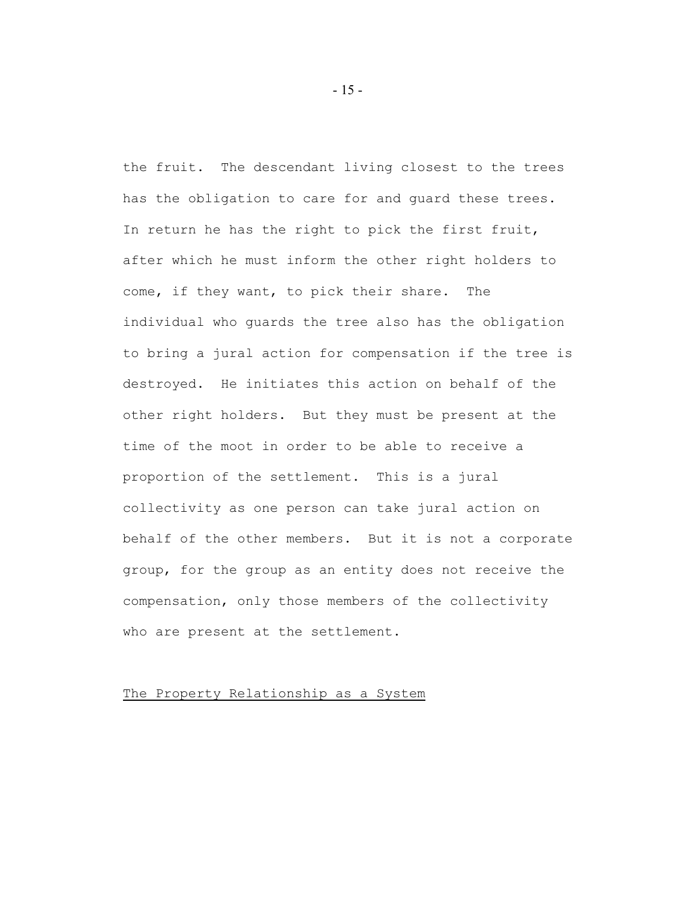the fruit. The descendant living closest to the trees has the obligation to care for and guard these trees. In return he has the right to pick the first fruit, after which he must inform the other right holders to come, if they want, to pick their share. The individual who guards the tree also has the obligation to bring a jural action for compensation if the tree is destroyed. He initiates this action on behalf of the other right holders. But they must be present at the time of the moot in order to be able to receive a proportion of the settlement. This is a jural collectivity as one person can take jural action on behalf of the other members. But it is not a corporate group, for the group as an entity does not receive the compensation, only those members of the collectivity who are present at the settlement.

### The Property Relationship as a System

- 15 -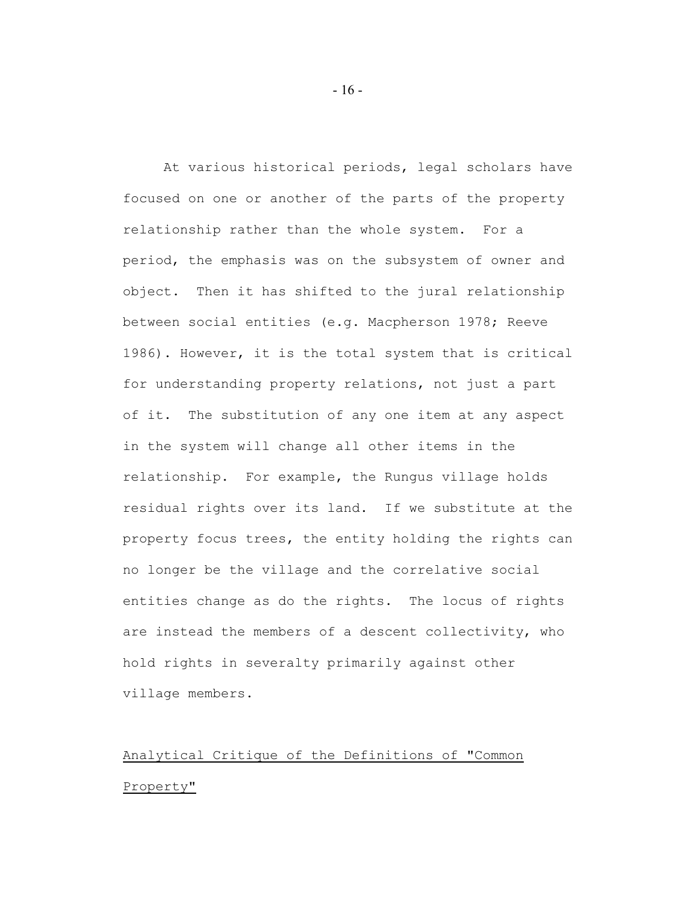At various historical periods, legal scholars have focused on one or another of the parts of the property relationship rather than the whole system. For a period, the emphasis was on the subsystem of owner and object. Then it has shifted to the jural relationship between social entities (e.g. Macpherson 1978; Reeve 1986). However, it is the total system that is critical for understanding property relations, not just a part of it. The substitution of any one item at any aspect in the system will change all other items in the relationship. For example, the Rungus village holds residual rights over its land. If we substitute at the property focus trees, the entity holding the rights can no longer be the village and the correlative social entities change as do the rights. The locus of rights are instead the members of a descent collectivity, who hold rights in severalty primarily against other village members.

# Analytical Critique of the Definitions of "Common Property"

 $-16-$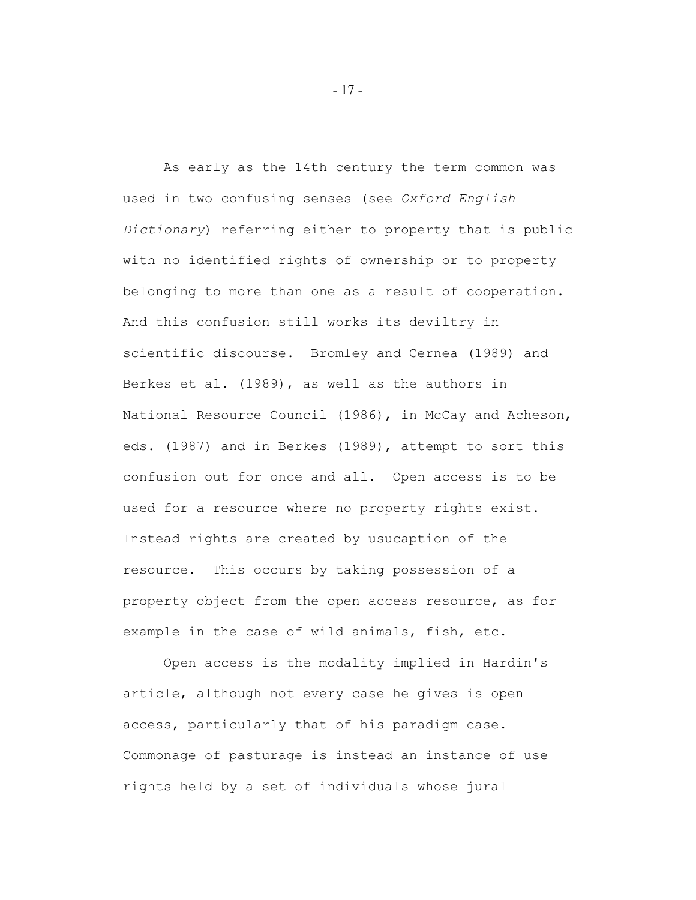As early as the 14th century the term common was used in two confusing senses (see *Oxford English Dictionary*) referring either to property that is public with no identified rights of ownership or to property belonging to more than one as a result of cooperation. And this confusion still works its deviltry in scientific discourse. Bromley and Cernea (1989) and Berkes et al. (1989), as well as the authors in National Resource Council (1986), in McCay and Acheson, eds. (1987) and in Berkes (1989), attempt to sort this confusion out for once and all. Open access is to be used for a resource where no property rights exist. Instead rights are created by usucaption of the resource. This occurs by taking possession of a property object from the open access resource, as for example in the case of wild animals, fish, etc.

Open access is the modality implied in Hardin's article, although not every case he gives is open access, particularly that of his paradigm case. Commonage of pasturage is instead an instance of use rights held by a set of individuals whose jural

- 17 -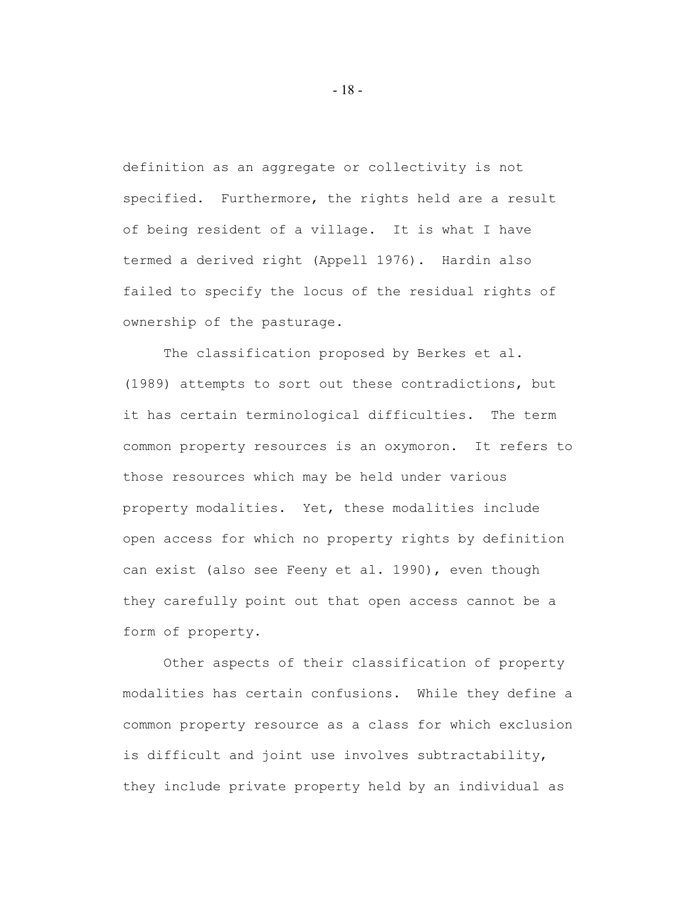definition as an aggregate or collectivity is not specified. Furthermore, the rights held are a result of being resident of a village. It is what I have termed a derived right (Appell 1976). Hardin also failed to specify the locus of the residual rights of ownership of the pasturage.

The classification proposed by Berkes et al. (1989) attempts to sort out these contradictions, but it has certain terminological difficulties. The term common property resources is an oxymoron. It refers to those resources which may be held under various property modalities. Yet, these modalities include open access for which no property rights by definition can exist (also see Feeny et al. 1990), even though they carefully point out that open access cannot be a form of property.

Other aspects of their classification of property modalities has certain confusions. While they define a common property resource as a class for which exclusion is difficult and joint use involves subtractability, they include private property held by an individual as

- 18 -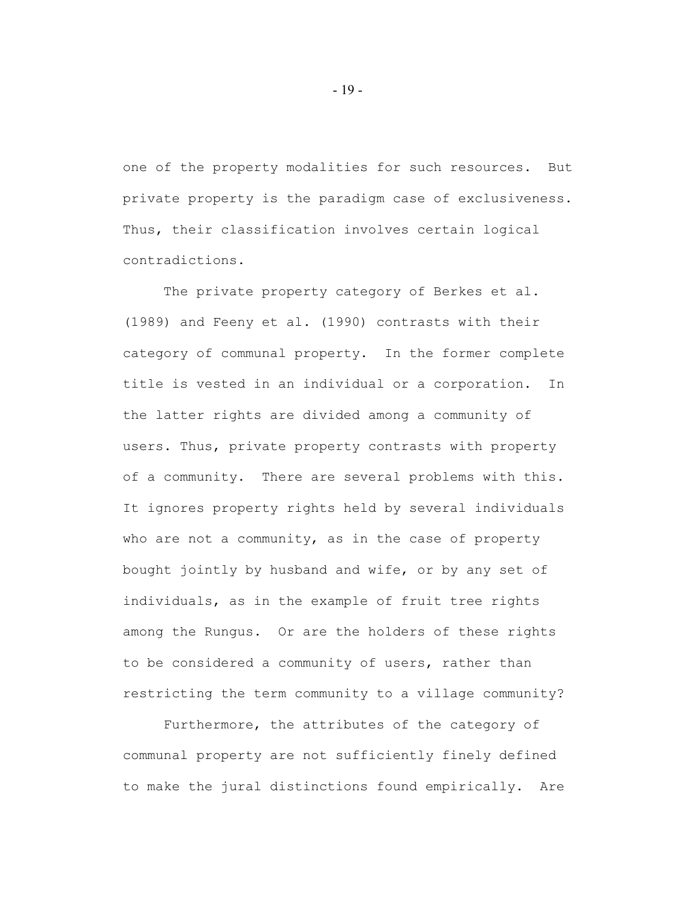one of the property modalities for such resources. But private property is the paradigm case of exclusiveness. Thus, their classification involves certain logical contradictions.

The private property category of Berkes et al. (1989) and Feeny et al. (1990) contrasts with their category of communal property. In the former complete title is vested in an individual or a corporation. In the latter rights are divided among a community of users. Thus, private property contrasts with property of a community. There are several problems with this. It ignores property rights held by several individuals who are not a community, as in the case of property bought jointly by husband and wife, or by any set of individuals, as in the example of fruit tree rights among the Rungus. Or are the holders of these rights to be considered a community of users, rather than restricting the term community to a village community?

Furthermore, the attributes of the category of communal property are not sufficiently finely defined to make the jural distinctions found empirically. Are

- 19 -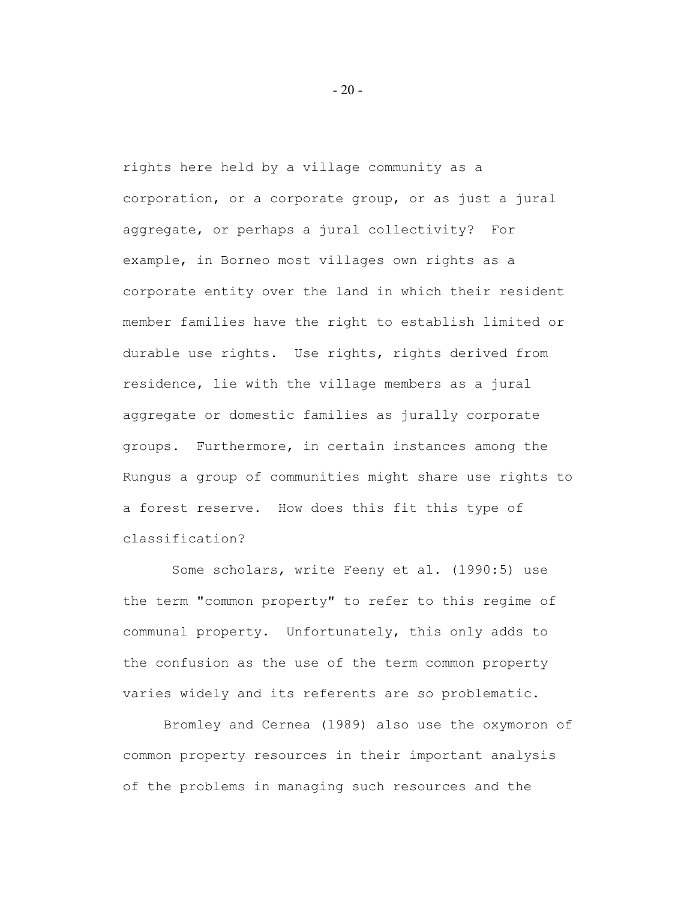rights here held by a village community as a corporation, or a corporate group, or as just a jural aggregate, or perhaps a jural collectivity? For example, in Borneo most villages own rights as a corporate entity over the land in which their resident member families have the right to establish limited or durable use rights. Use rights, rights derived from residence, lie with the village members as a jural aggregate or domestic families as jurally corporate groups. Furthermore, in certain instances among the Rungus a group of communities might share use rights to a forest reserve. How does this fit this type of classification?

 Some scholars, write Feeny et al. (1990:5) use the term "common property" to refer to this regime of communal property. Unfortunately, this only adds to the confusion as the use of the term common property varies widely and its referents are so problematic.

Bromley and Cernea (1989) also use the oxymoron of common property resources in their important analysis of the problems in managing such resources and the

- 20 -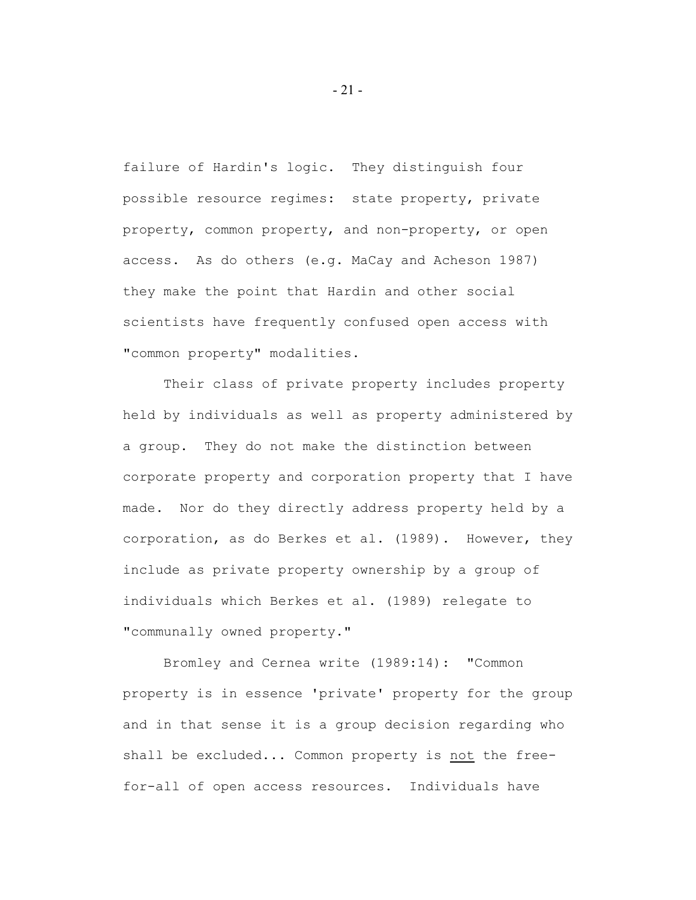failure of Hardin's logic. They distinguish four possible resource regimes: state property, private property, common property, and non-property, or open access. As do others (e.g. MaCay and Acheson 1987) they make the point that Hardin and other social scientists have frequently confused open access with "common property" modalities.

Their class of private property includes property held by individuals as well as property administered by a group. They do not make the distinction between corporate property and corporation property that I have made. Nor do they directly address property held by a corporation, as do Berkes et al. (1989). However, they include as private property ownership by a group of individuals which Berkes et al. (1989) relegate to "communally owned property."

Bromley and Cernea write (1989:14): "Common property is in essence 'private' property for the group and in that sense it is a group decision regarding who shall be excluded... Common property is not the freefor-all of open access resources. Individuals have

- 21 -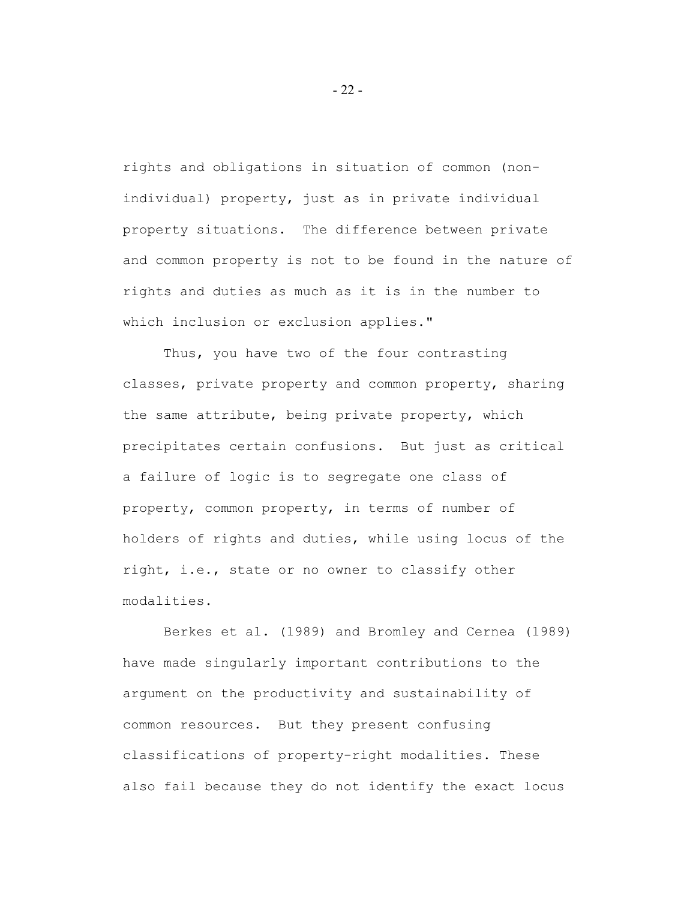rights and obligations in situation of common (nonindividual) property, just as in private individual property situations. The difference between private and common property is not to be found in the nature of rights and duties as much as it is in the number to which inclusion or exclusion applies."

Thus, you have two of the four contrasting classes, private property and common property, sharing the same attribute, being private property, which precipitates certain confusions. But just as critical a failure of logic is to segregate one class of property, common property, in terms of number of holders of rights and duties, while using locus of the right, i.e., state or no owner to classify other modalities.

Berkes et al. (1989) and Bromley and Cernea (1989) have made singularly important contributions to the argument on the productivity and sustainability of common resources. But they present confusing classifications of property-right modalities. These also fail because they do not identify the exact locus

- 22 -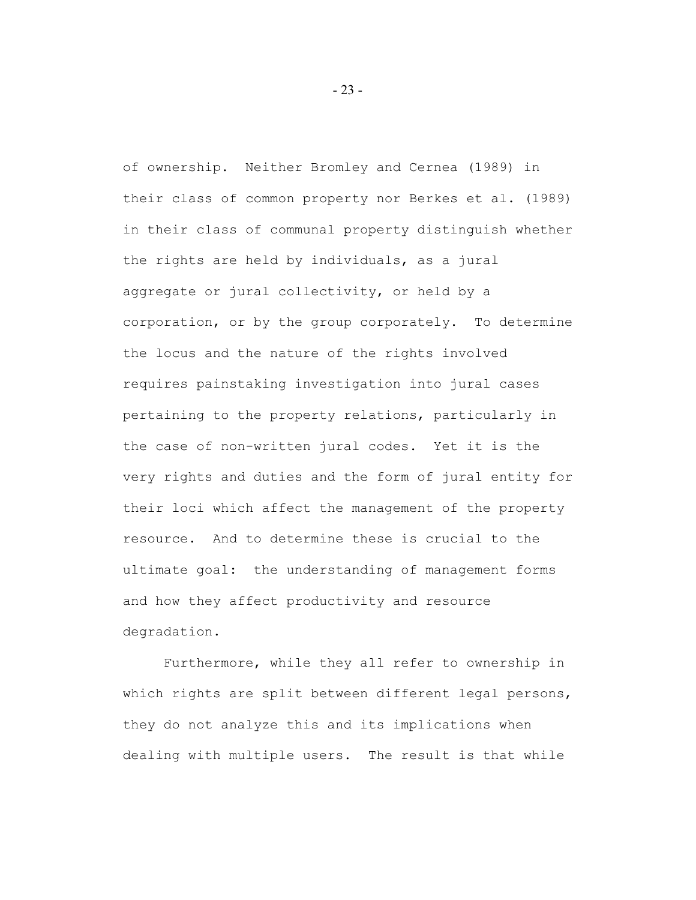of ownership. Neither Bromley and Cernea (1989) in their class of common property nor Berkes et al. (1989) in their class of communal property distinguish whether the rights are held by individuals, as a jural aggregate or jural collectivity, or held by a corporation, or by the group corporately. To determine the locus and the nature of the rights involved requires painstaking investigation into jural cases pertaining to the property relations, particularly in the case of non-written jural codes. Yet it is the very rights and duties and the form of jural entity for their loci which affect the management of the property resource. And to determine these is crucial to the ultimate goal: the understanding of management forms and how they affect productivity and resource degradation.

Furthermore, while they all refer to ownership in which rights are split between different legal persons, they do not analyze this and its implications when dealing with multiple users. The result is that while

- 23 -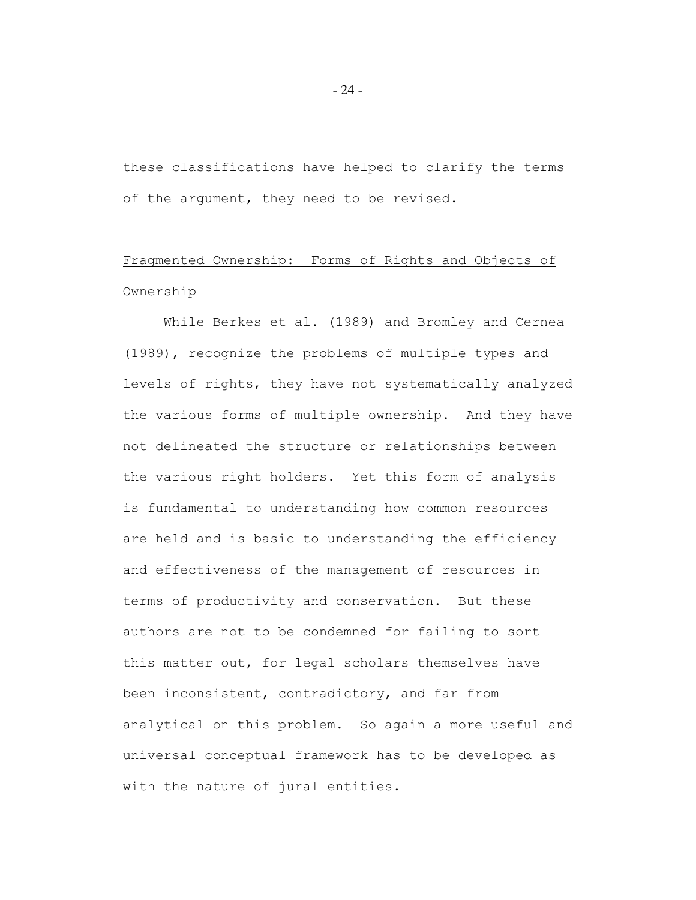these classifications have helped to clarify the terms of the argument, they need to be revised.

# Fragmented Ownership: Forms of Rights and Objects of Ownership

While Berkes et al. (1989) and Bromley and Cernea (1989), recognize the problems of multiple types and levels of rights, they have not systematically analyzed the various forms of multiple ownership. And they have not delineated the structure or relationships between the various right holders. Yet this form of analysis is fundamental to understanding how common resources are held and is basic to understanding the efficiency and effectiveness of the management of resources in terms of productivity and conservation. But these authors are not to be condemned for failing to sort this matter out, for legal scholars themselves have been inconsistent, contradictory, and far from analytical on this problem. So again a more useful and universal conceptual framework has to be developed as with the nature of jural entities.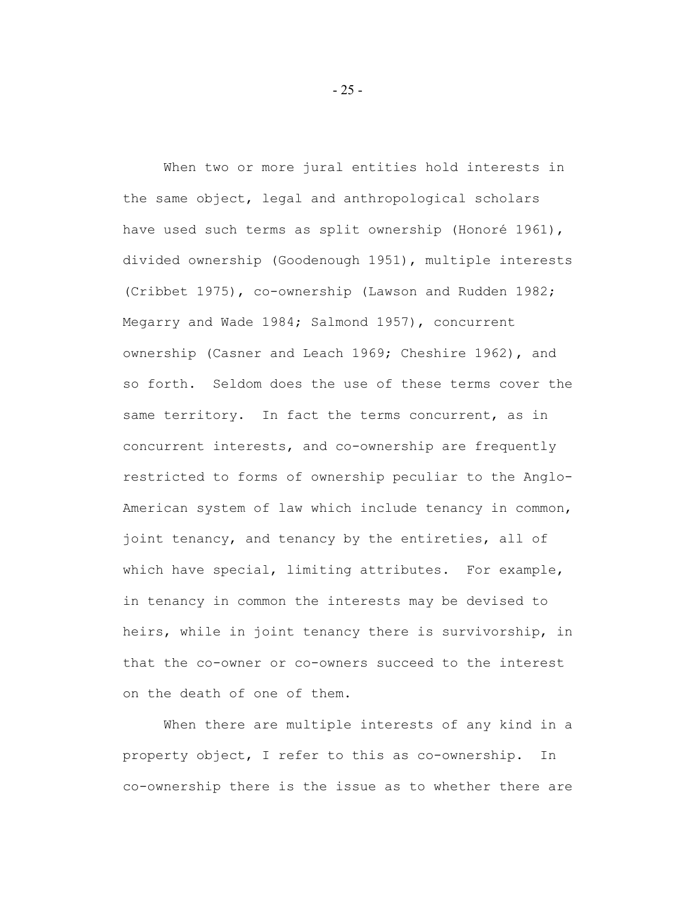When two or more jural entities hold interests in the same object, legal and anthropological scholars have used such terms as split ownership (Honoré 1961), divided ownership (Goodenough 1951), multiple interests (Cribbet 1975), co-ownership (Lawson and Rudden 1982; Megarry and Wade 1984; Salmond 1957), concurrent ownership (Casner and Leach 1969; Cheshire 1962), and so forth. Seldom does the use of these terms cover the same territory. In fact the terms concurrent, as in concurrent interests, and co-ownership are frequently restricted to forms of ownership peculiar to the Anglo-American system of law which include tenancy in common, joint tenancy, and tenancy by the entireties, all of which have special, limiting attributes. For example, in tenancy in common the interests may be devised to heirs, while in joint tenancy there is survivorship, in that the co-owner or co-owners succeed to the interest on the death of one of them.

When there are multiple interests of any kind in a property object, I refer to this as co-ownership. In co-ownership there is the issue as to whether there are

- 25 -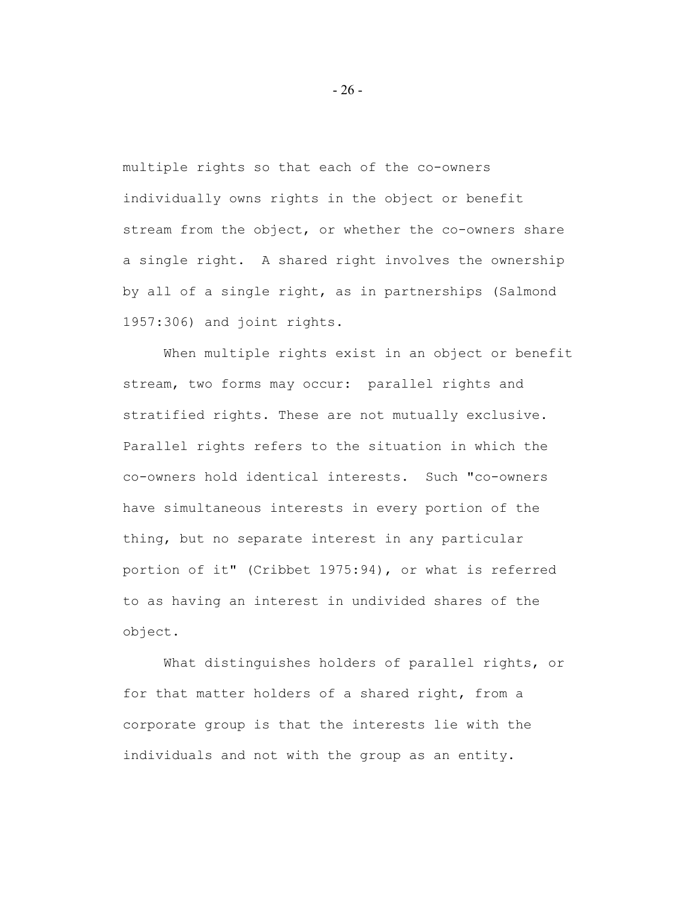multiple rights so that each of the co-owners individually owns rights in the object or benefit stream from the object, or whether the co-owners share a single right. A shared right involves the ownership by all of a single right, as in partnerships (Salmond 1957:306) and joint rights.

When multiple rights exist in an object or benefit stream, two forms may occur: parallel rights and stratified rights. These are not mutually exclusive. Parallel rights refers to the situation in which the co-owners hold identical interests. Such "co-owners have simultaneous interests in every portion of the thing, but no separate interest in any particular portion of it" (Cribbet 1975:94), or what is referred to as having an interest in undivided shares of the object.

What distinguishes holders of parallel rights, or for that matter holders of a shared right, from a corporate group is that the interests lie with the individuals and not with the group as an entity.

- 26 -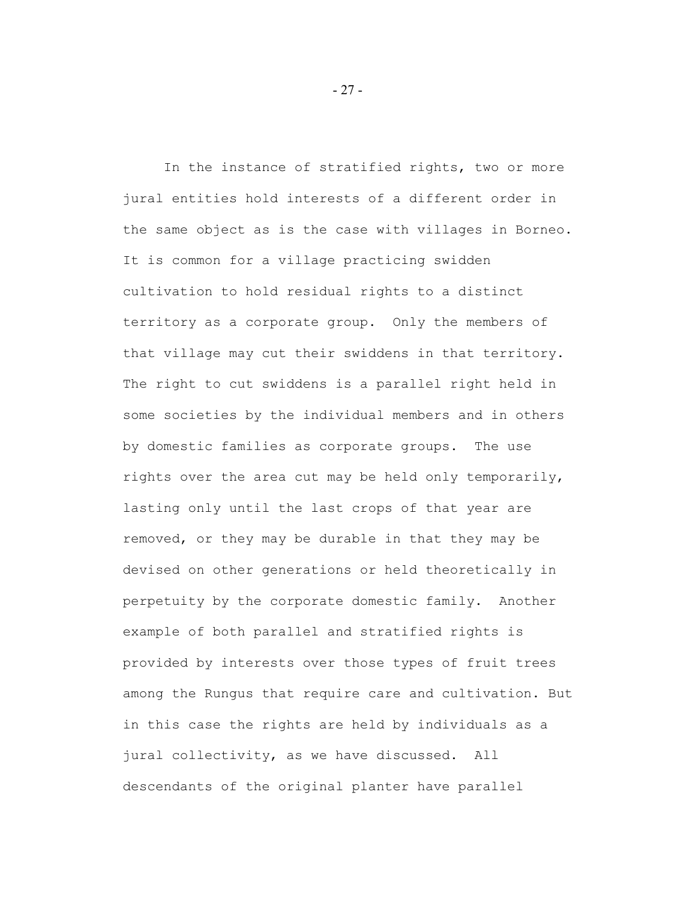In the instance of stratified rights, two or more jural entities hold interests of a different order in the same object as is the case with villages in Borneo. It is common for a village practicing swidden cultivation to hold residual rights to a distinct territory as a corporate group. Only the members of that village may cut their swiddens in that territory. The right to cut swiddens is a parallel right held in some societies by the individual members and in others by domestic families as corporate groups. The use rights over the area cut may be held only temporarily, lasting only until the last crops of that year are removed, or they may be durable in that they may be devised on other generations or held theoretically in perpetuity by the corporate domestic family. Another example of both parallel and stratified rights is provided by interests over those types of fruit trees among the Rungus that require care and cultivation. But in this case the rights are held by individuals as a jural collectivity, as we have discussed. All descendants of the original planter have parallel

- 27 -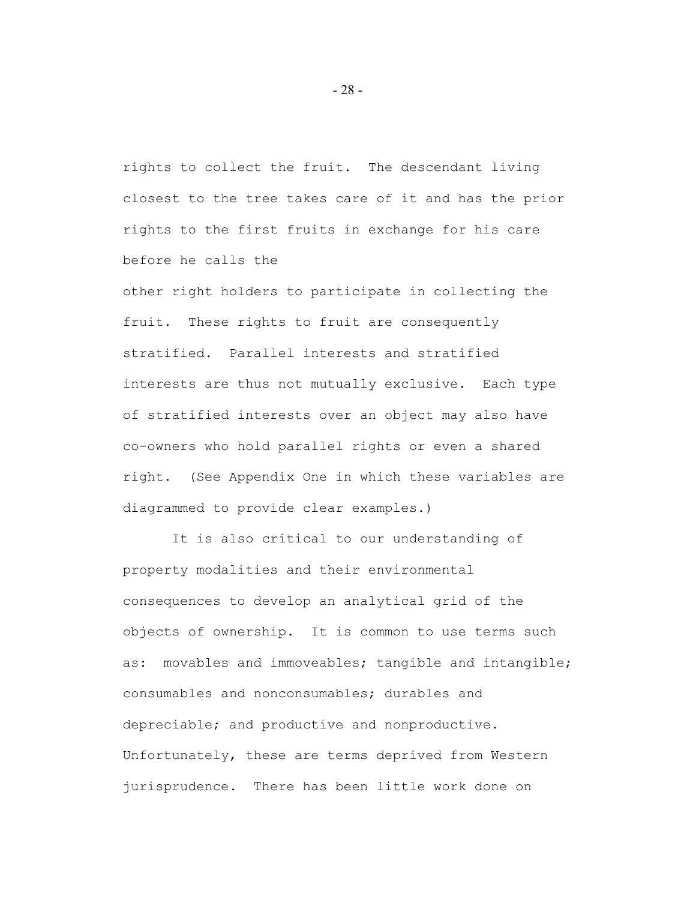rights to collect the fruit. The descendant living closest to the tree takes care of it and has the prior rights to the first fruits in exchange for his care before he calls the

other right holders to participate in collecting the fruit. These rights to fruit are consequently stratified. Parallel interests and stratified interests are thus not mutually exclusive. Each type of stratified interests over an object may also have co-owners who hold parallel rights or even a shared right. (See Appendix One in which these variables are diagrammed to provide clear examples.)

 It is also critical to our understanding of property modalities and their environmental consequences to develop an analytical grid of the objects of ownership. It is common to use terms such as: movables and immoveables; tangible and intangible; consumables and nonconsumables; durables and depreciable; and productive and nonproductive. Unfortunately, these are terms deprived from Western jurisprudence. There has been little work done on

- 28 -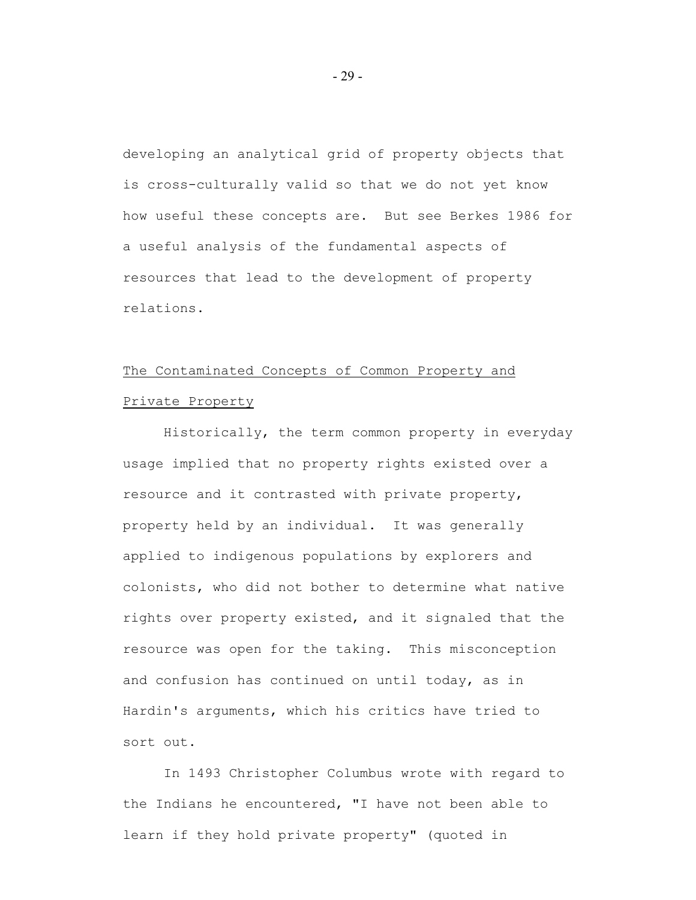developing an analytical grid of property objects that is cross-culturally valid so that we do not yet know how useful these concepts are. But see Berkes 1986 for a useful analysis of the fundamental aspects of resources that lead to the development of property relations.

# The Contaminated Concepts of Common Property and Private Property

Historically, the term common property in everyday usage implied that no property rights existed over a resource and it contrasted with private property, property held by an individual. It was generally applied to indigenous populations by explorers and colonists, who did not bother to determine what native rights over property existed, and it signaled that the resource was open for the taking. This misconception and confusion has continued on until today, as in Hardin's arguments, which his critics have tried to sort out.

In 1493 Christopher Columbus wrote with regard to the Indians he encountered, "I have not been able to learn if they hold private property" (quoted in

- 29 -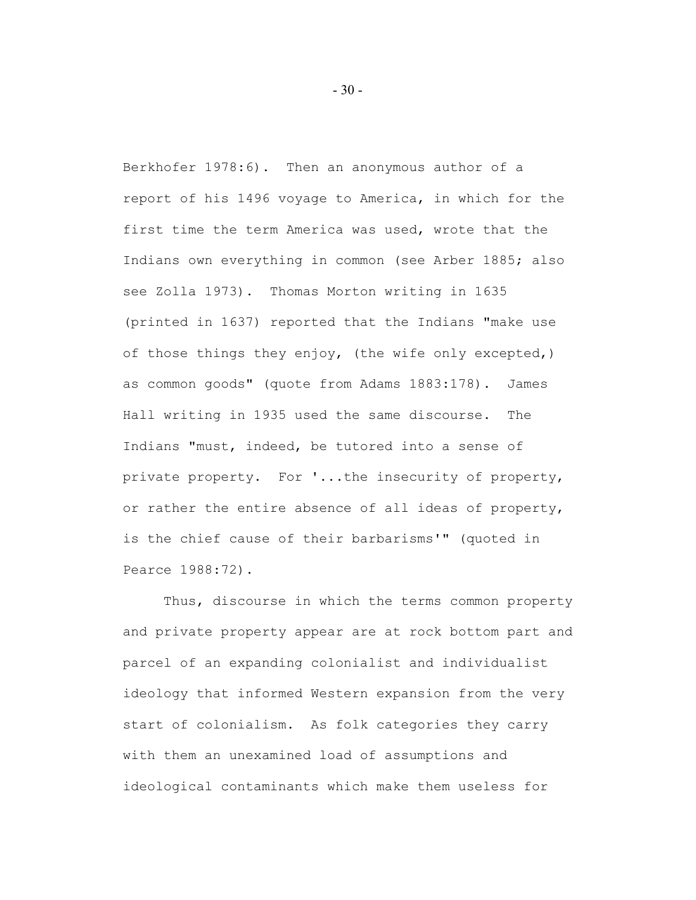Berkhofer 1978:6). Then an anonymous author of a report of his 1496 voyage to America, in which for the first time the term America was used, wrote that the Indians own everything in common (see Arber 1885; also see Zolla 1973). Thomas Morton writing in 1635 (printed in 1637) reported that the Indians "make use of those things they enjoy, (the wife only excepted,) as common goods" (quote from Adams 1883:178). James Hall writing in 1935 used the same discourse. The Indians "must, indeed, be tutored into a sense of private property. For '...the insecurity of property, or rather the entire absence of all ideas of property, is the chief cause of their barbarisms'" (quoted in Pearce 1988:72).

Thus, discourse in which the terms common property and private property appear are at rock bottom part and parcel of an expanding colonialist and individualist ideology that informed Western expansion from the very start of colonialism. As folk categories they carry with them an unexamined load of assumptions and ideological contaminants which make them useless for

- 30 -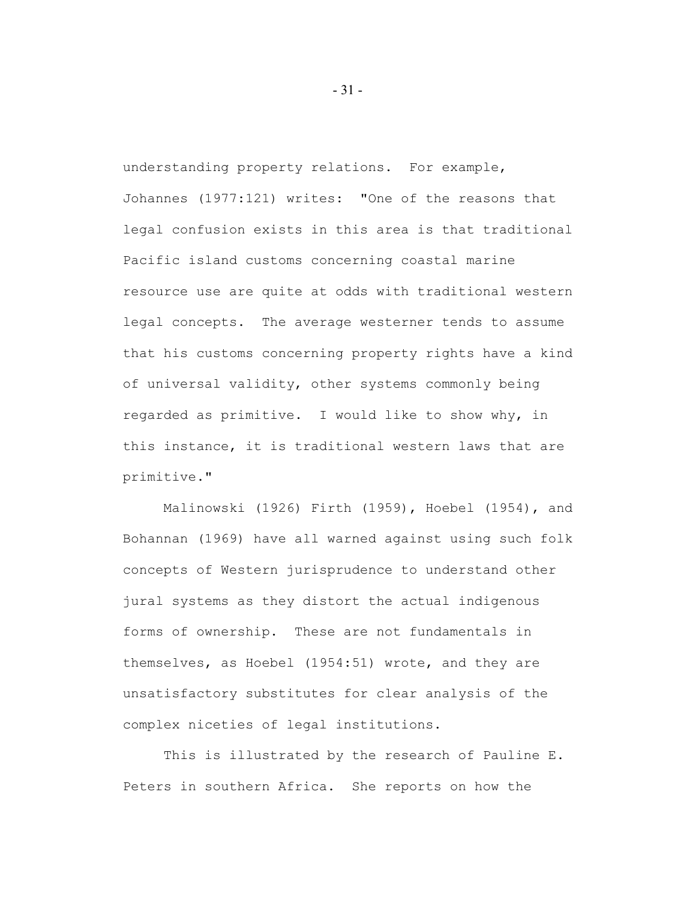understanding property relations. For example, Johannes (1977:121) writes: "One of the reasons that legal confusion exists in this area is that traditional Pacific island customs concerning coastal marine resource use are quite at odds with traditional western legal concepts. The average westerner tends to assume that his customs concerning property rights have a kind of universal validity, other systems commonly being regarded as primitive. I would like to show why, in this instance, it is traditional western laws that are primitive."

Malinowski (1926) Firth (1959), Hoebel (1954), and Bohannan (1969) have all warned against using such folk concepts of Western jurisprudence to understand other jural systems as they distort the actual indigenous forms of ownership. These are not fundamentals in themselves, as Hoebel (1954:51) wrote, and they are unsatisfactory substitutes for clear analysis of the complex niceties of legal institutions.

This is illustrated by the research of Pauline E. Peters in southern Africa. She reports on how the

- 31 -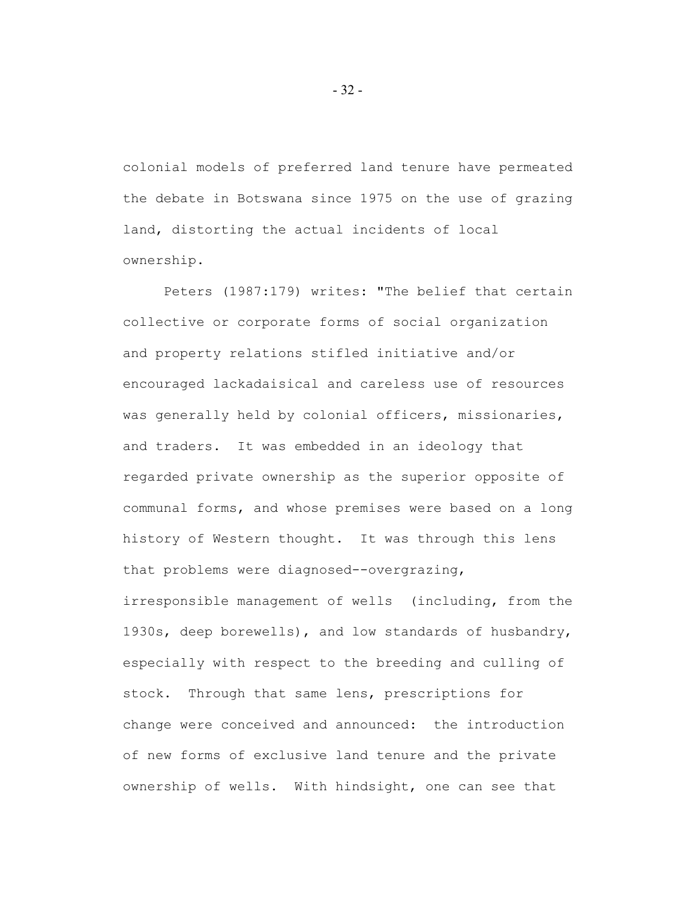colonial models of preferred land tenure have permeated the debate in Botswana since 1975 on the use of grazing land, distorting the actual incidents of local ownership.

Peters (1987:179) writes: "The belief that certain collective or corporate forms of social organization and property relations stifled initiative and/or encouraged lackadaisical and careless use of resources was generally held by colonial officers, missionaries, and traders. It was embedded in an ideology that regarded private ownership as the superior opposite of communal forms, and whose premises were based on a long history of Western thought. It was through this lens that problems were diagnosed--overgrazing, irresponsible management of wells (including, from the 1930s, deep borewells), and low standards of husbandry,

especially with respect to the breeding and culling of stock. Through that same lens, prescriptions for change were conceived and announced: the introduction of new forms of exclusive land tenure and the private ownership of wells. With hindsight, one can see that

- 32 -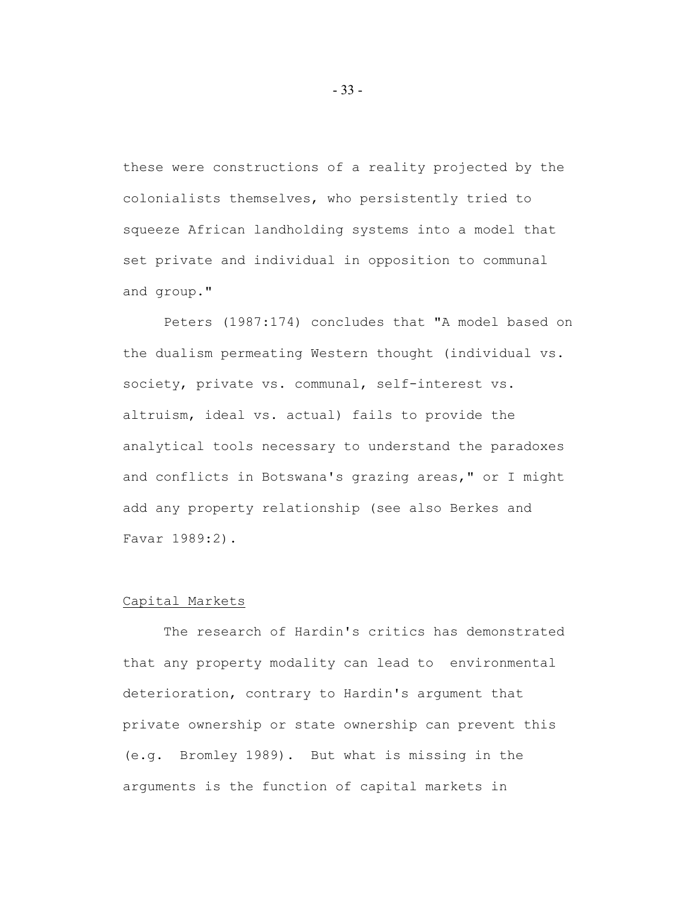these were constructions of a reality projected by the colonialists themselves, who persistently tried to squeeze African landholding systems into a model that set private and individual in opposition to communal and group."

Peters (1987:174) concludes that "A model based on the dualism permeating Western thought (individual vs. society, private vs. communal, self-interest vs. altruism, ideal vs. actual) fails to provide the analytical tools necessary to understand the paradoxes and conflicts in Botswana's grazing areas," or I might add any property relationship (see also Berkes and Favar 1989:2).

### Capital Markets

The research of Hardin's critics has demonstrated that any property modality can lead to environmental deterioration, contrary to Hardin's argument that private ownership or state ownership can prevent this (e.g. Bromley 1989). But what is missing in the arguments is the function of capital markets in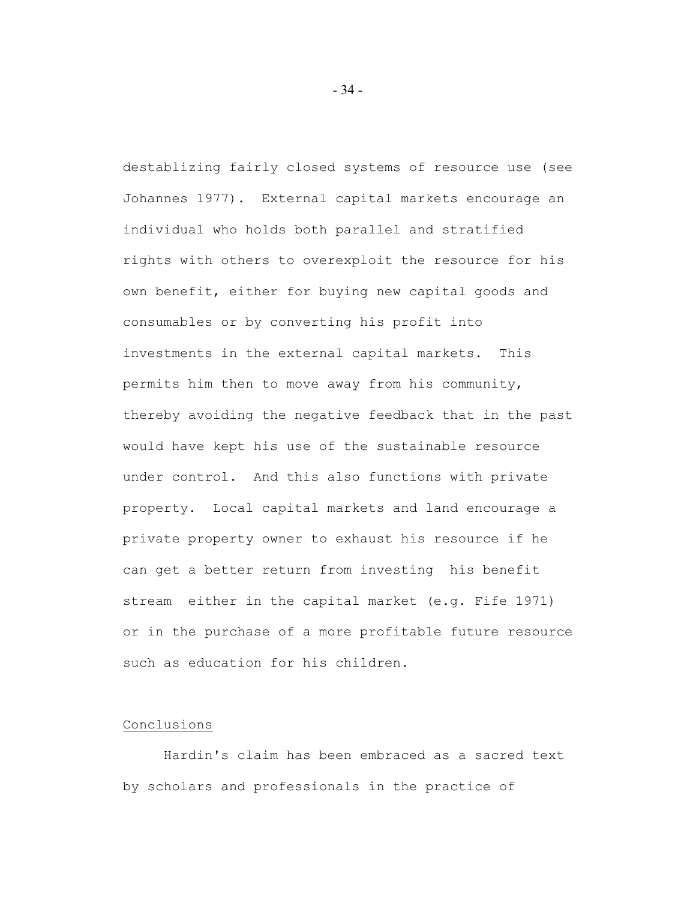destablizing fairly closed systems of resource use (see Johannes 1977). External capital markets encourage an individual who holds both parallel and stratified rights with others to overexploit the resource for his own benefit, either for buying new capital goods and consumables or by converting his profit into investments in the external capital markets. This permits him then to move away from his community, thereby avoiding the negative feedback that in the past would have kept his use of the sustainable resource under control. And this also functions with private property. Local capital markets and land encourage a private property owner to exhaust his resource if he can get a better return from investing his benefit stream either in the capital market (e.g. Fife 1971) or in the purchase of a more profitable future resource such as education for his children.

## Conclusions

Hardin's claim has been embraced as a sacred text by scholars and professionals in the practice of

- 34 -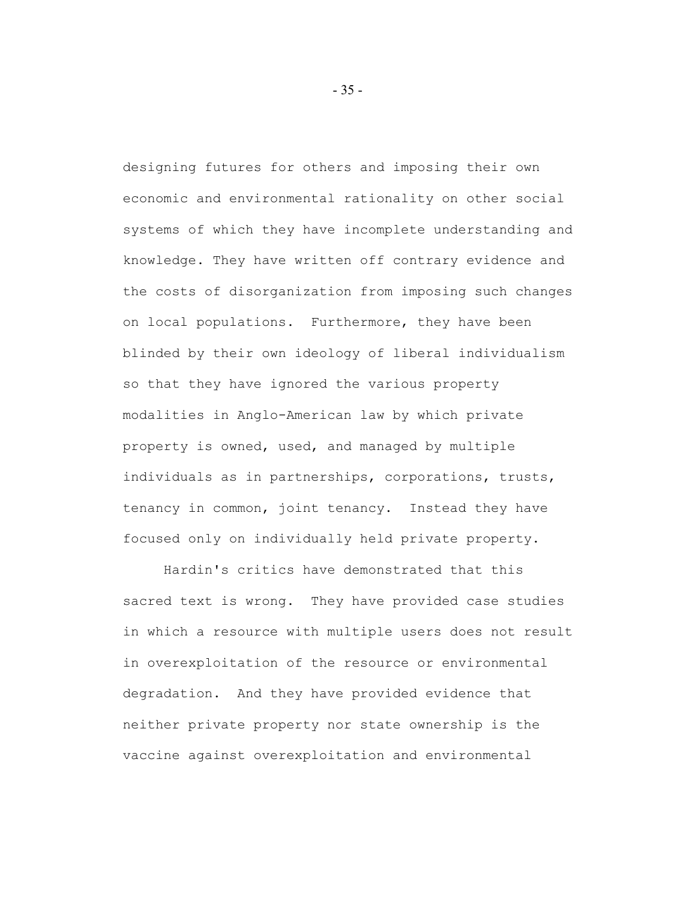designing futures for others and imposing their own economic and environmental rationality on other social systems of which they have incomplete understanding and knowledge. They have written off contrary evidence and the costs of disorganization from imposing such changes on local populations. Furthermore, they have been blinded by their own ideology of liberal individualism so that they have ignored the various property modalities in Anglo-American law by which private property is owned, used, and managed by multiple individuals as in partnerships, corporations, trusts, tenancy in common, joint tenancy. Instead they have focused only on individually held private property.

Hardin's critics have demonstrated that this sacred text is wrong. They have provided case studies in which a resource with multiple users does not result in overexploitation of the resource or environmental degradation. And they have provided evidence that neither private property nor state ownership is the vaccine against overexploitation and environmental

- 35 -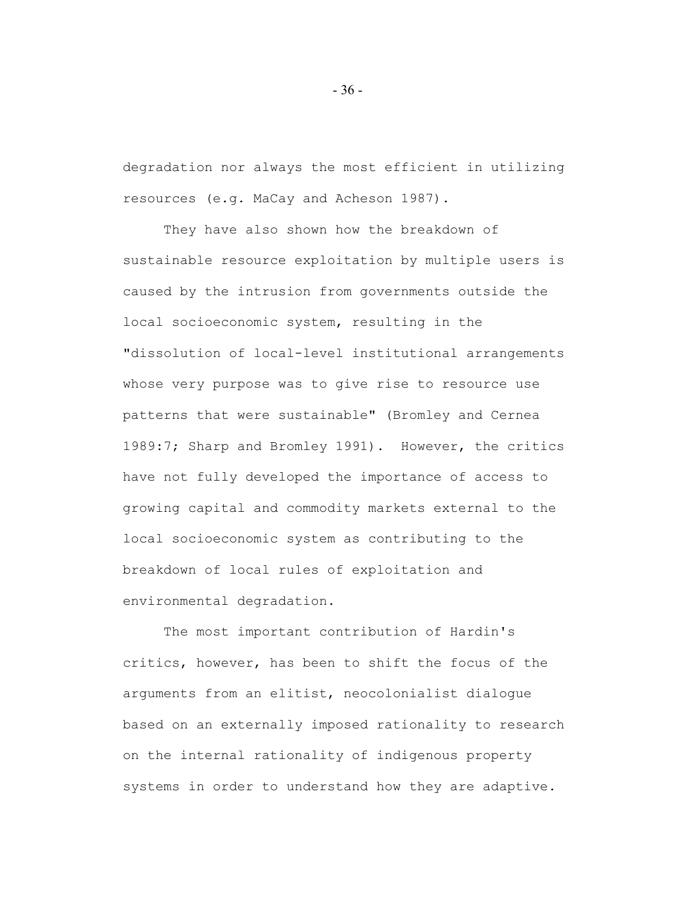degradation nor always the most efficient in utilizing resources (e.g. MaCay and Acheson 1987).

They have also shown how the breakdown of sustainable resource exploitation by multiple users is caused by the intrusion from governments outside the local socioeconomic system, resulting in the "dissolution of local-level institutional arrangements whose very purpose was to give rise to resource use patterns that were sustainable" (Bromley and Cernea 1989:7; Sharp and Bromley 1991). However, the critics have not fully developed the importance of access to growing capital and commodity markets external to the local socioeconomic system as contributing to the breakdown of local rules of exploitation and environmental degradation.

The most important contribution of Hardin's critics, however, has been to shift the focus of the arguments from an elitist, neocolonialist dialogue based on an externally imposed rationality to research on the internal rationality of indigenous property systems in order to understand how they are adaptive.

- 36 -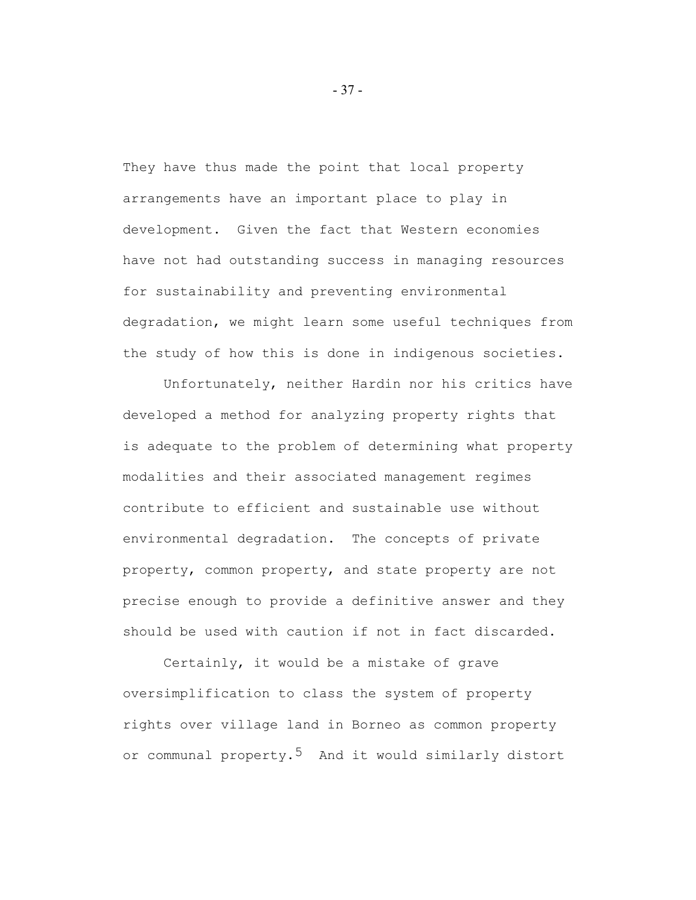They have thus made the point that local property arrangements have an important place to play in development. Given the fact that Western economies have not had outstanding success in managing resources for sustainability and preventing environmental degradation, we might learn some useful techniques from the study of how this is done in indigenous societies.

Unfortunately, neither Hardin nor his critics have developed a method for analyzing property rights that is adequate to the problem of determining what property modalities and their associated management regimes contribute to efficient and sustainable use without environmental degradation. The concepts of private property, common property, and state property are not precise enough to provide a definitive answer and they should be used with caution if not in fact discarded.

Certainly, it would be a mistake of grave oversimplification to class the system of property rights over village land in Borneo as common property or communal property.<sup>5</sup> And it would similarly distort

- 37 -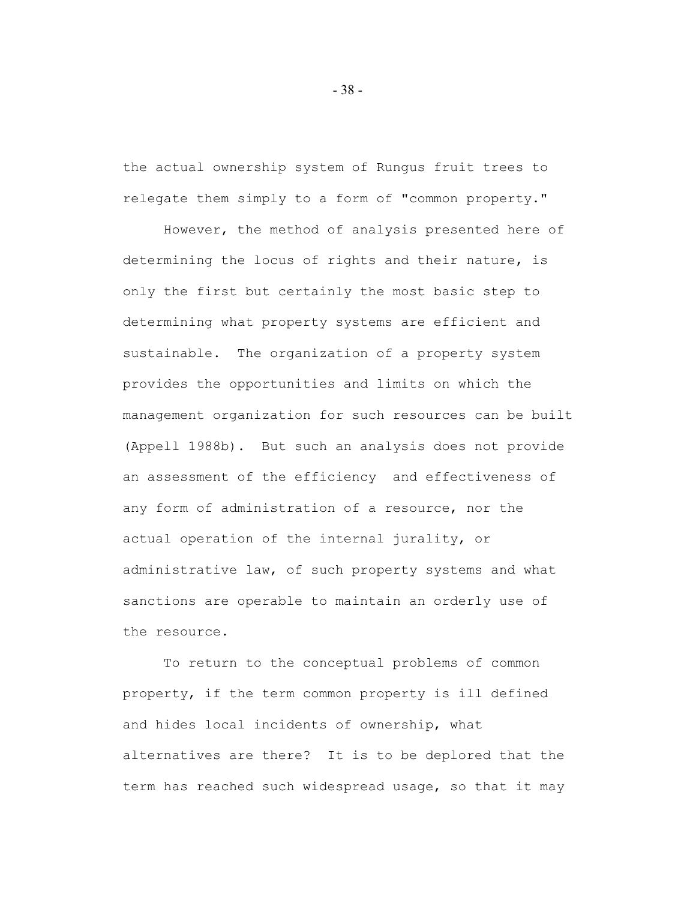the actual ownership system of Rungus fruit trees to relegate them simply to a form of "common property."

However, the method of analysis presented here of determining the locus of rights and their nature, is only the first but certainly the most basic step to determining what property systems are efficient and sustainable. The organization of a property system provides the opportunities and limits on which the management organization for such resources can be built (Appell 1988b). But such an analysis does not provide an assessment of the efficiency and effectiveness of any form of administration of a resource, nor the actual operation of the internal jurality, or administrative law, of such property systems and what sanctions are operable to maintain an orderly use of the resource.

To return to the conceptual problems of common property, if the term common property is ill defined and hides local incidents of ownership, what alternatives are there? It is to be deplored that the term has reached such widespread usage, so that it may

- 38 -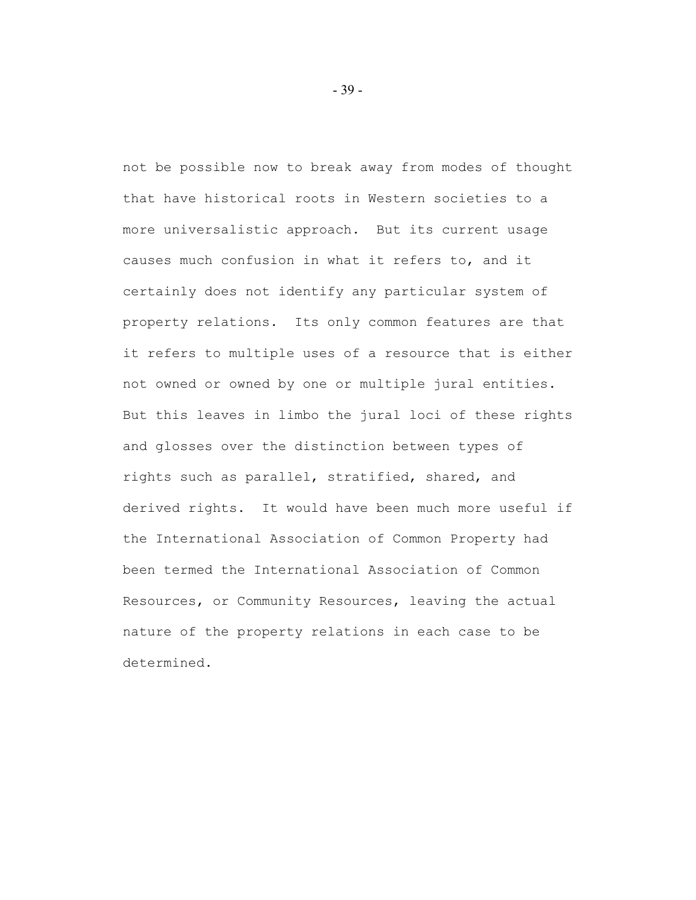not be possible now to break away from modes of thought that have historical roots in Western societies to a more universalistic approach. But its current usage causes much confusion in what it refers to, and it certainly does not identify any particular system of property relations. Its only common features are that it refers to multiple uses of a resource that is either not owned or owned by one or multiple jural entities. But this leaves in limbo the jural loci of these rights and glosses over the distinction between types of rights such as parallel, stratified, shared, and derived rights. It would have been much more useful if the International Association of Common Property had been termed the International Association of Common Resources, or Community Resources, leaving the actual nature of the property relations in each case to be determined.

- 39 -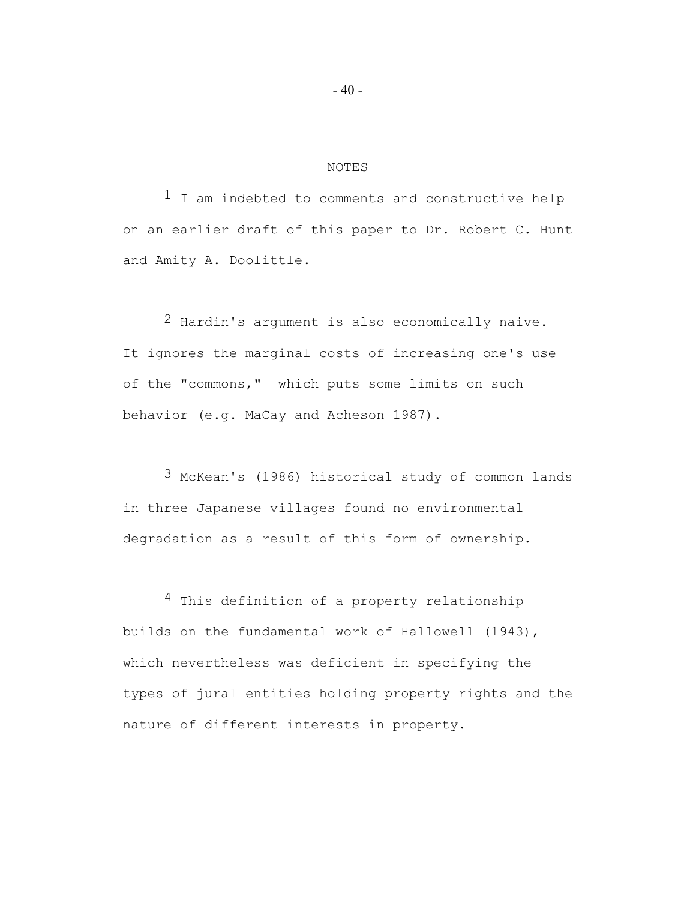#### NOTES

 $1$  I am indebted to comments and constructive help on an earlier draft of this paper to Dr. Robert C. Hunt and Amity A. Doolittle.

2 Hardin's argument is also economically naive. It ignores the marginal costs of increasing one's use of the "commons," which puts some limits on such behavior (e.g. MaCay and Acheson 1987).

3 McKean's (1986) historical study of common lands in three Japanese villages found no environmental degradation as a result of this form of ownership.

4 This definition of a property relationship builds on the fundamental work of Hallowell (1943), which nevertheless was deficient in specifying the types of jural entities holding property rights and the nature of different interests in property.

- 40 -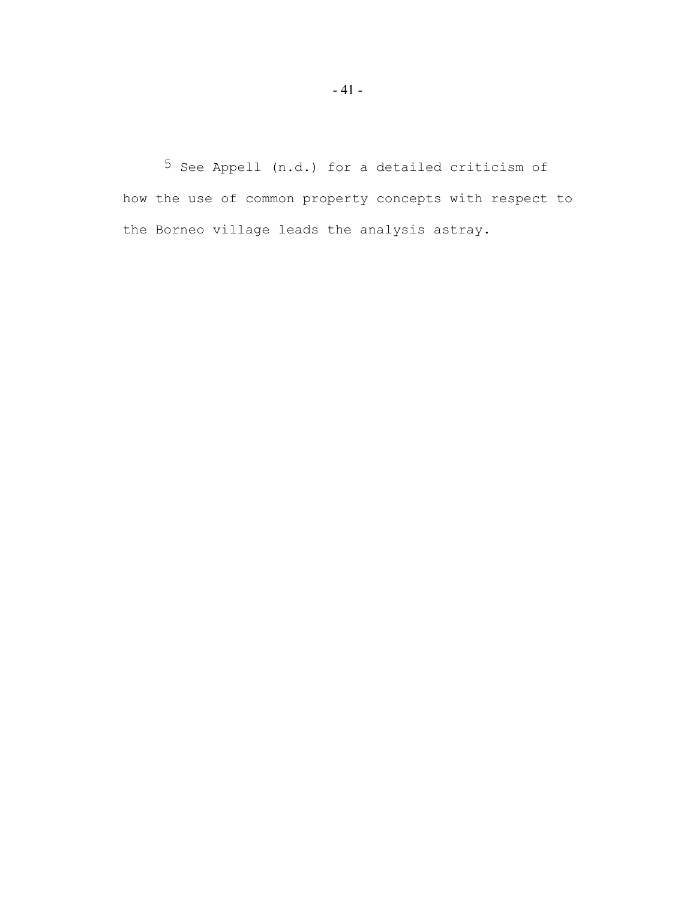5 See Appell (n.d.) for a detailed criticism of how the use of common property concepts with respect to the Borneo village leads the analysis astray.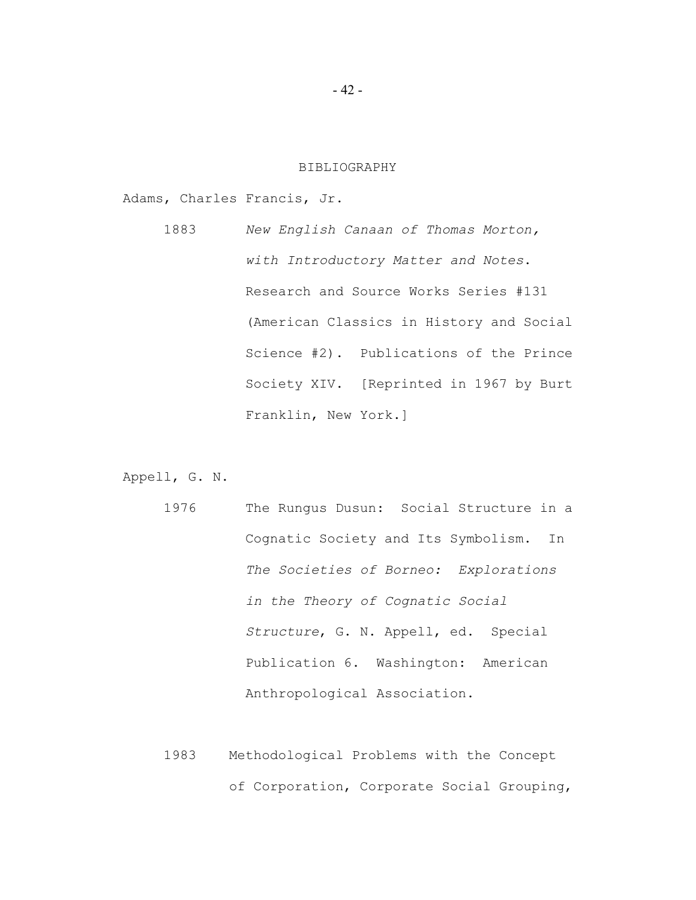#### BIBLIOGRAPHY

Adams, Charles Francis, Jr.

1883 *New English Canaan of Thomas Morton, with Introductory Matter and Notes*. Research and Source Works Series #131 (American Classics in History and Social Science #2). Publications of the Prince Society XIV. [Reprinted in 1967 by Burt Franklin, New York.]

Appell, G. N.

- 1976 The Rungus Dusun: Social Structure in a Cognatic Society and Its Symbolism. In *The Societies of Borneo: Explorations in the Theory of Cognatic Social Structure*, G. N. Appell, ed. Special Publication 6. Washington: American Anthropological Association.
- 1983 Methodological Problems with the Concept of Corporation, Corporate Social Grouping,

- 42 -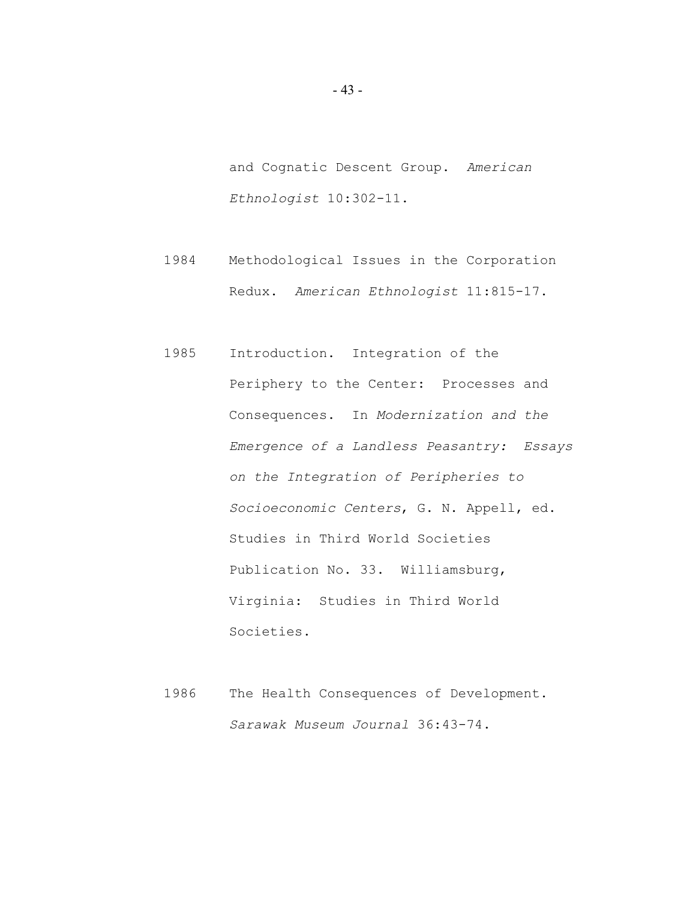and Cognatic Descent Group. *American Ethnologist* 10:302-11.

- 1984 Methodological Issues in the Corporation Redux. *American Ethnologist* 11:815-17.
- 1985 Introduction. Integration of the Periphery to the Center: Processes and Consequences. In *Modernization and the Emergence of a Landless Peasantry: Essays on the Integration of Peripheries to Socioeconomic Centers*, G. N. Appell, ed. Studies in Third World Societies Publication No. 33. Williamsburg, Virginia: Studies in Third World Societies.
- 1986 The Health Consequences of Development. *Sarawak Museum Journal* 36:43-74.

- 43 -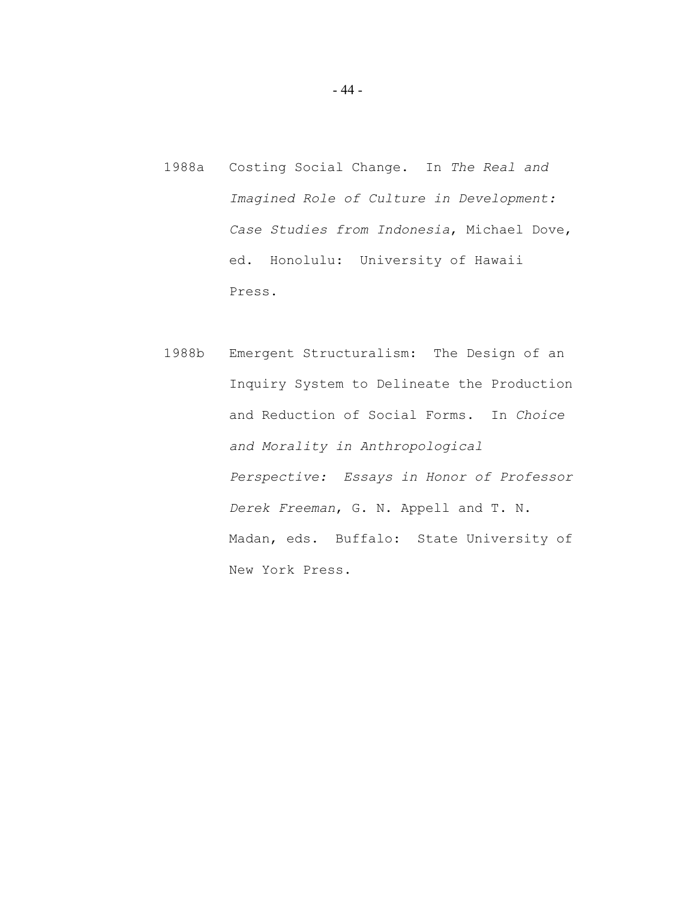- 1988a Costing Social Change. In *The Real and Imagined Role of Culture in Development: Case Studies from Indonesia*, Michael Dove, ed. Honolulu: University of Hawaii Press.
- 1988b Emergent Structuralism: The Design of an Inquiry System to Delineate the Production and Reduction of Social Forms. In *Choice and Morality in Anthropological Perspective: Essays in Honor of Professor Derek Freeman*, G. N. Appell and T. N. Madan, eds. Buffalo: State University of New York Press.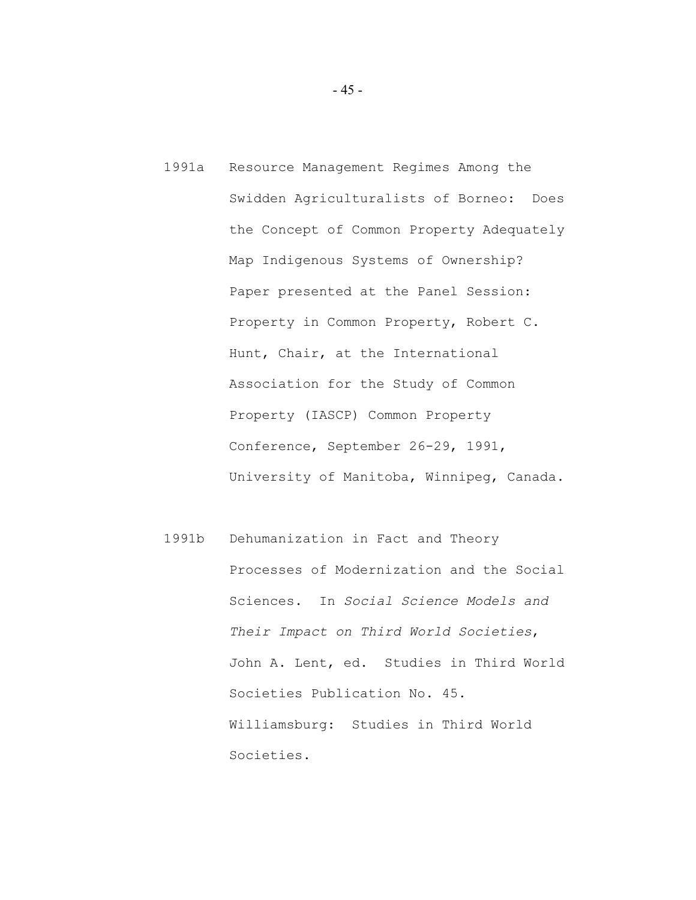- 1991a Resource Management Regimes Among the Swidden Agriculturalists of Borneo: Does the Concept of Common Property Adequately Map Indigenous Systems of Ownership? Paper presented at the Panel Session: Property in Common Property, Robert C. Hunt, Chair, at the International Association for the Study of Common Property (IASCP) Common Property Conference, September 26-29, 1991, University of Manitoba, Winnipeg, Canada.
- 1991b Dehumanization in Fact and Theory Processes of Modernization and the Social Sciences. In *Social Science Models and Their Impact on Third World Societies*, John A. Lent, ed. Studies in Third World Societies Publication No. 45. Williamsburg: Studies in Third World Societies.

- 45 -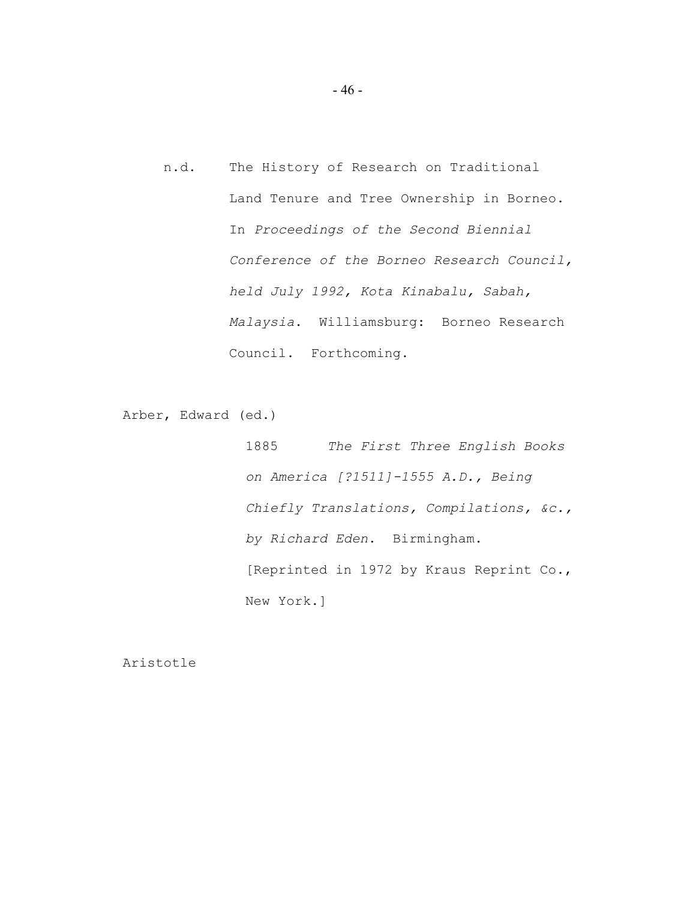n.d. The History of Research on Traditional Land Tenure and Tree Ownership in Borneo. In *Proceedings of the Second Biennial Conference of the Borneo Research Council, held July 1992, Kota Kinabalu, Sabah, Malaysia*. Williamsburg: Borneo Research Council. Forthcoming.

Arber, Edward (ed.)

1885 *The First Three English Books on America [?1511]-1555 A.D., Being Chiefly Translations, Compilations, &c., by Richard Eden*. Birmingham. [Reprinted in 1972 by Kraus Reprint Co., New York.]

Aristotle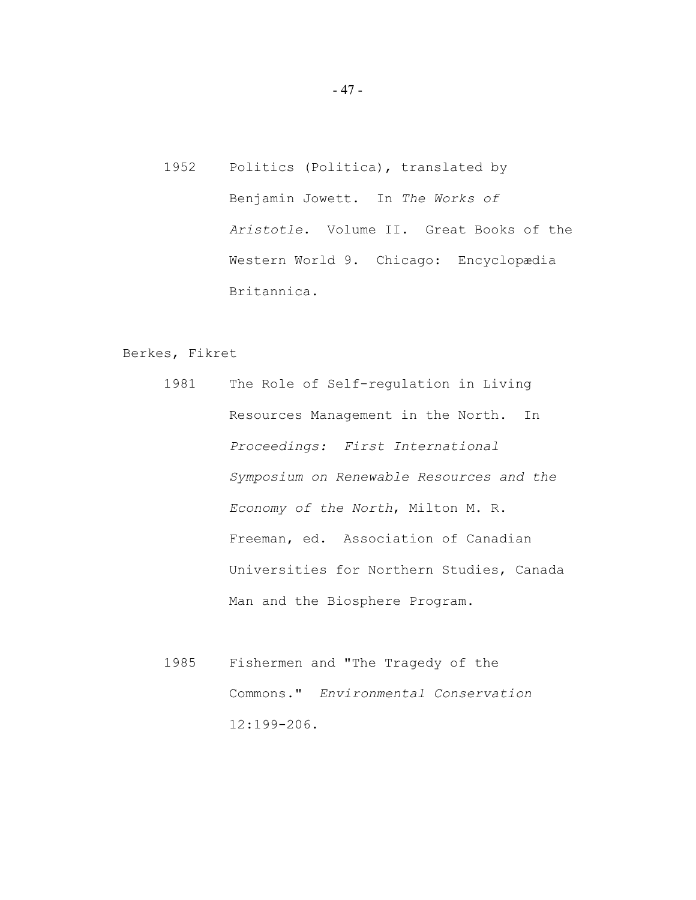1952 Politics (Politica), translated by Benjamin Jowett. In *The Works of Aristotle*. Volume II. Great Books of the Western World 9. Chicago: Encyclopædia Britannica.

# Berkes, Fikret

- 1981 The Role of Self-regulation in Living Resources Management in the North. In *Proceedings: First International Symposium on Renewable Resources and the Economy of the North*, Milton M. R. Freeman, ed. Association of Canadian Universities for Northern Studies, Canada Man and the Biosphere Program.
- 1985 Fishermen and "The Tragedy of the Commons." *Environmental Conservation* 12:199-206.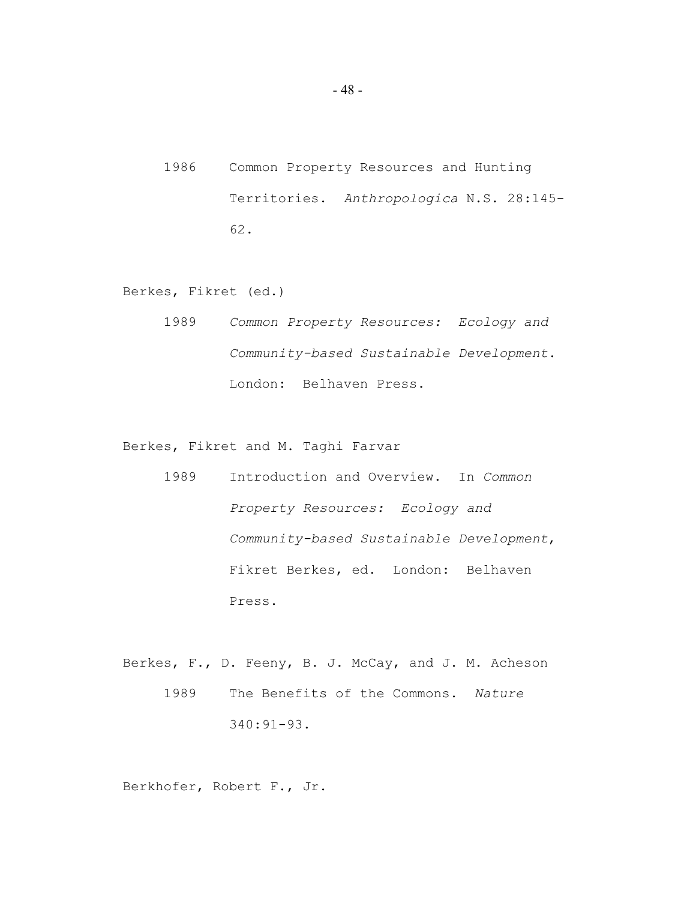1986 Common Property Resources and Hunting Territories. *Anthropologica* N.S. 28:145- 62.

Berkes, Fikret (ed.)

1989 *Common Property Resources: Ecology and Community-based Sustainable Development*. London: Belhaven Press.

Berkes, Fikret and M. Taghi Farvar

- 1989 Introduction and Overview. In *Common Property Resources: Ecology and Community-based Sustainable Development*, Fikret Berkes, ed. London: Belhaven Press.
- Berkes, F., D. Feeny, B. J. McCay, and J. M. Acheson 1989 The Benefits of the Commons. *Nature* 340:91-93.

Berkhofer, Robert F., Jr.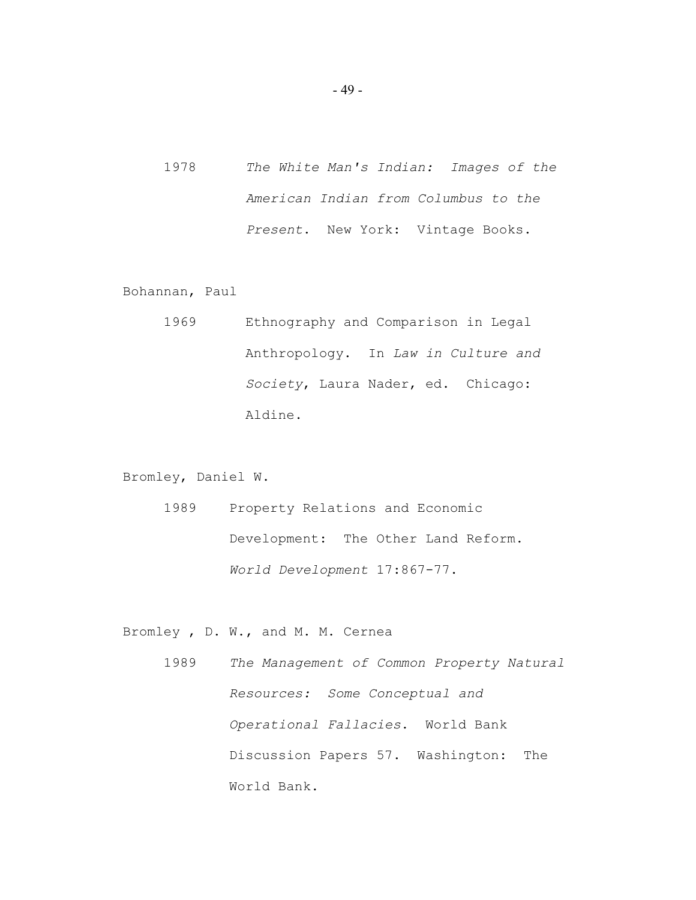1978 *The White Man's Indian: Images of the American Indian from Columbus to the Present*. New York: Vintage Books.

Bohannan, Paul

1969 Ethnography and Comparison in Legal Anthropology. In *Law in Culture and Society*, Laura Nader, ed. Chicago: Aldine.

Bromley, Daniel W.

1989 Property Relations and Economic Development: The Other Land Reform. *World Development* 17:867-77.

Bromley , D. W., and M. M. Cernea

1989 *The Management of Common Property Natural Resources: Some Conceptual and Operational Fallacies*. World Bank Discussion Papers 57. Washington: The World Bank.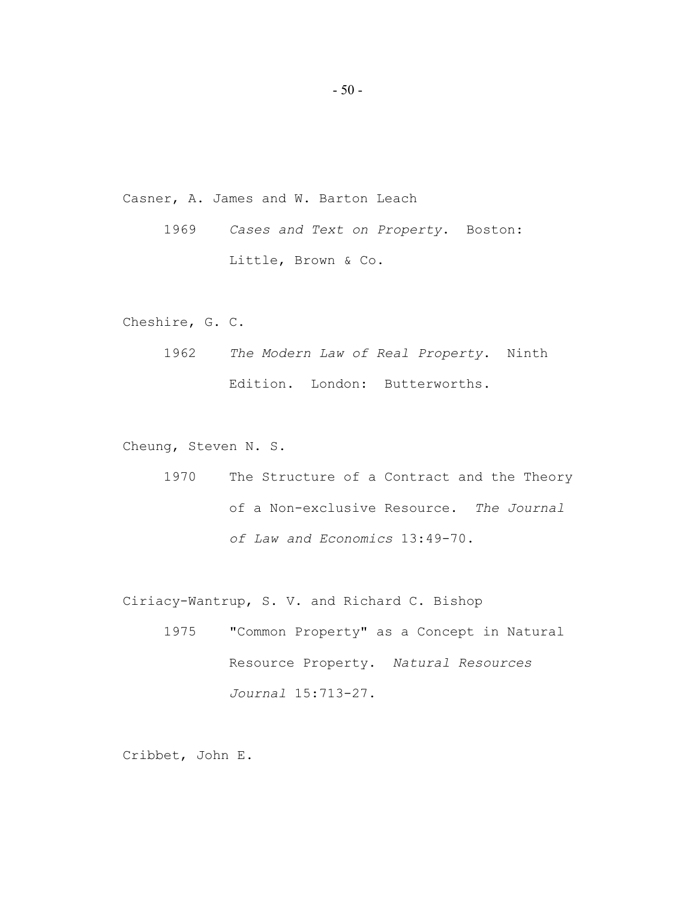Casner, A. James and W. Barton Leach

1969 *Cases and Text on Property*. Boston: Little, Brown & Co.

Cheshire, G. C.

1962 *The Modern Law of Real Property*. Ninth Edition. London: Butterworths.

Cheung, Steven N. S.

1970 The Structure of a Contract and the Theory of a Non-exclusive Resource. *The Journal of Law and Economics* 13:49-70.

Ciriacy-Wantrup, S. V. and Richard C. Bishop

1975 "Common Property" as a Concept in Natural Resource Property. *Natural Resources Journal* 15:713-27.

Cribbet, John E.

- 50 -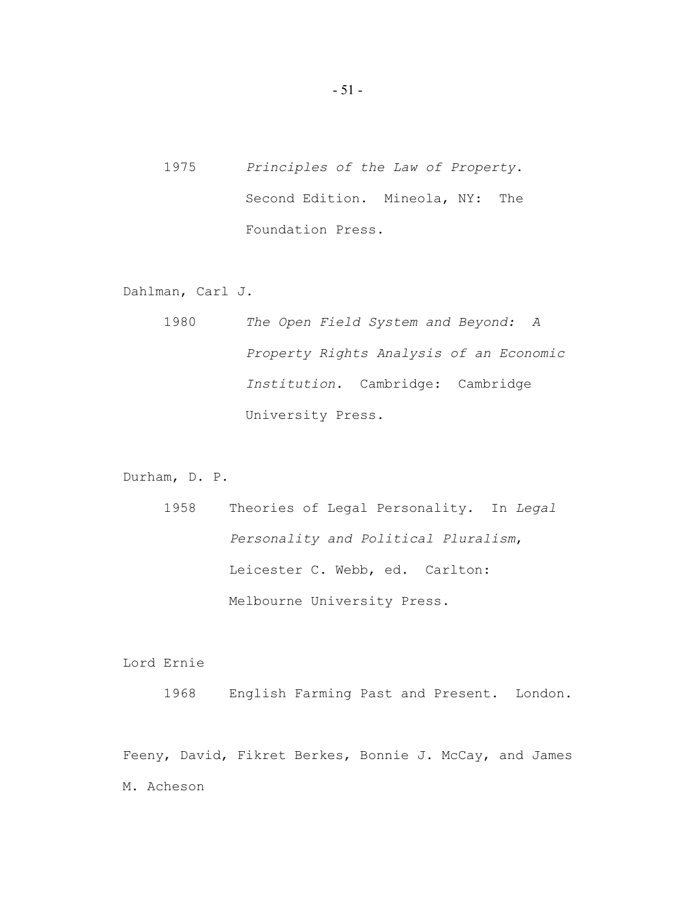1975 *Principles of the Law of Property*. Second Edition. Mineola, NY: The Foundation Press.

Dahlman, Carl J.

1980 *The Open Field System and Beyond: A Property Rights Analysis of an Economic Institution*. Cambridge: Cambridge University Press.

Durham, D. P.

1958 Theories of Legal Personality. In *Legal Personality and Political Pluralism*, Leicester C. Webb, ed. Carlton: Melbourne University Press.

Lord Ernie

1968 English Farming Past and Present. London.

Feeny, David, Fikret Berkes, Bonnie J. McCay, and James M. Acheson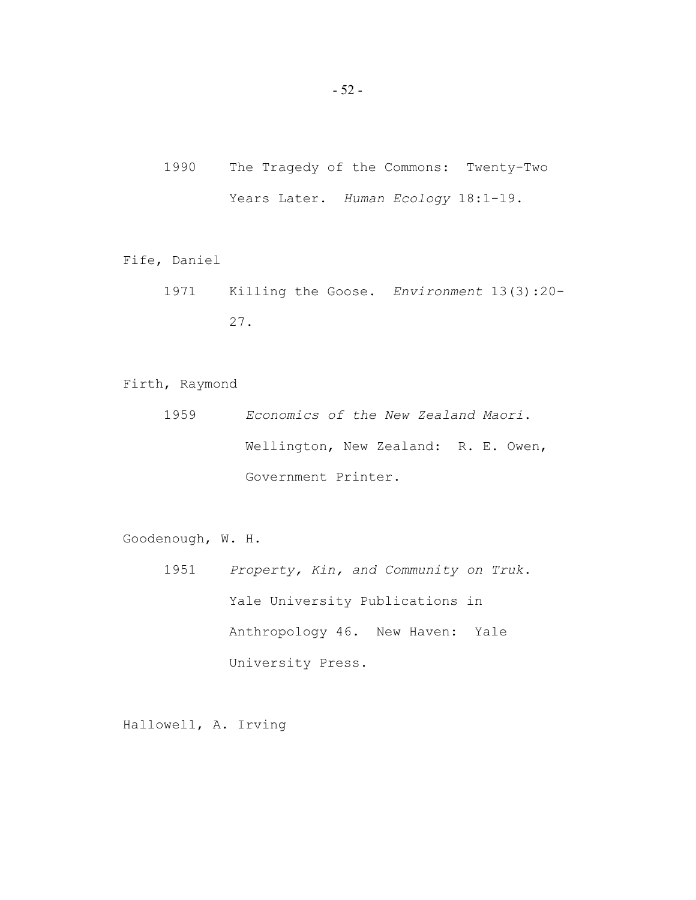- 1990 The Tragedy of the Commons: Twenty-Two Years Later. *Human Ecology* 18:1-19.
- Fife, Daniel
	- 1971 Killing the Goose. *Environment* 13(3):20- 27.
- Firth, Raymond
	- 1959 *Economics of the New Zealand Maori*. Wellington, New Zealand: R. E. Owen, Government Printer.
- Goodenough, W. H.
	- 1951 *Property, Kin, and Community on Truk*. Yale University Publications in Anthropology 46. New Haven: Yale University Press.

Hallowell, A. Irving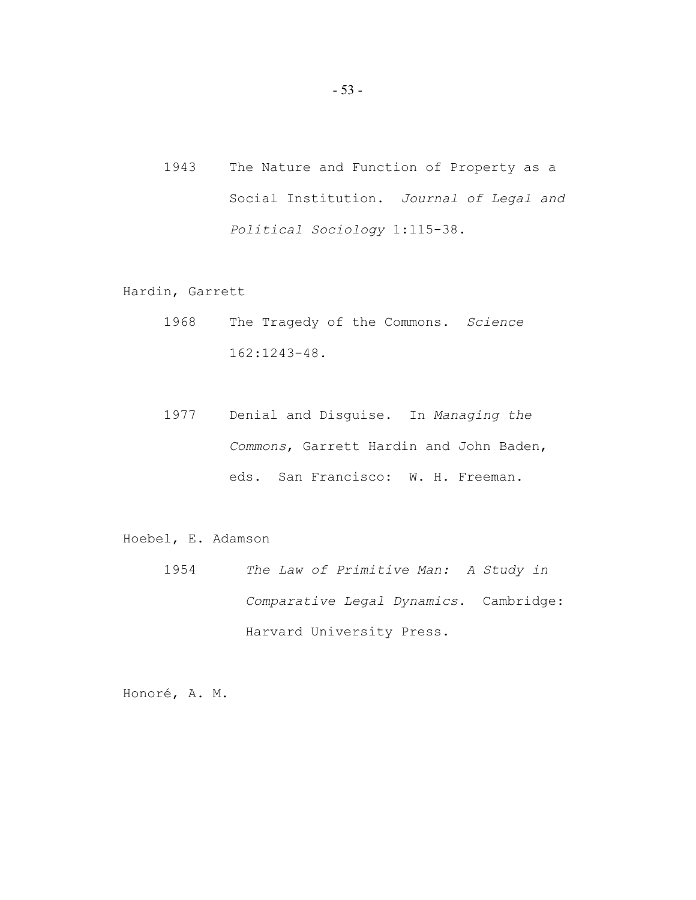1943 The Nature and Function of Property as a Social Institution. *Journal of Legal and Political Sociology* 1:115-38.

Hardin, Garrett

- 1968 The Tragedy of the Commons. *Science* 162:1243-48.
- 1977 Denial and Disguise. In *Managing the Commons*, Garrett Hardin and John Baden, eds. San Francisco: W. H. Freeman.

Hoebel, E. Adamson

1954 *The Law of Primitive Man: A Study in Comparative Legal Dynamics*. Cambridge: Harvard University Press.

Honoré, A. M.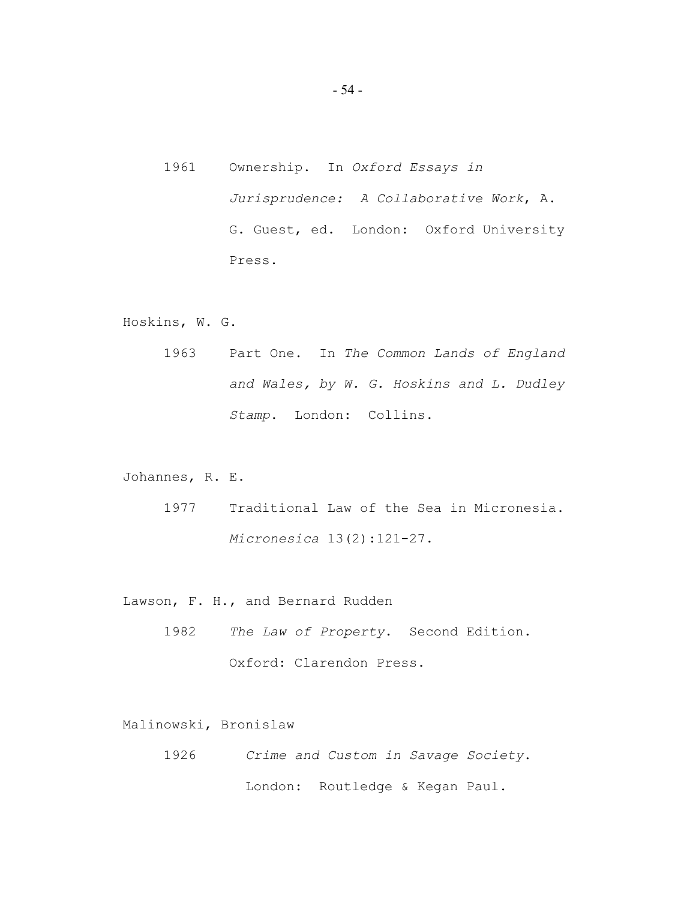1961 Ownership. In *Oxford Essays in Jurisprudence: A Collaborative Work*, A. G. Guest, ed. London: Oxford University Press.

Hoskins, W. G.

1963 Part One. In *The Common Lands of England and Wales, by W. G. Hoskins and L. Dudley Stamp*. London: Collins.

Johannes, R. E.

1977 Traditional Law of the Sea in Micronesia. *Micronesica* 13(2):121-27.

Lawson, F. H., and Bernard Rudden

1982 *The Law of Property*. Second Edition. Oxford: Clarendon Press.

Malinowski, Bronislaw

1926 *Crime and Custom in Savage Society*. London: Routledge & Kegan Paul.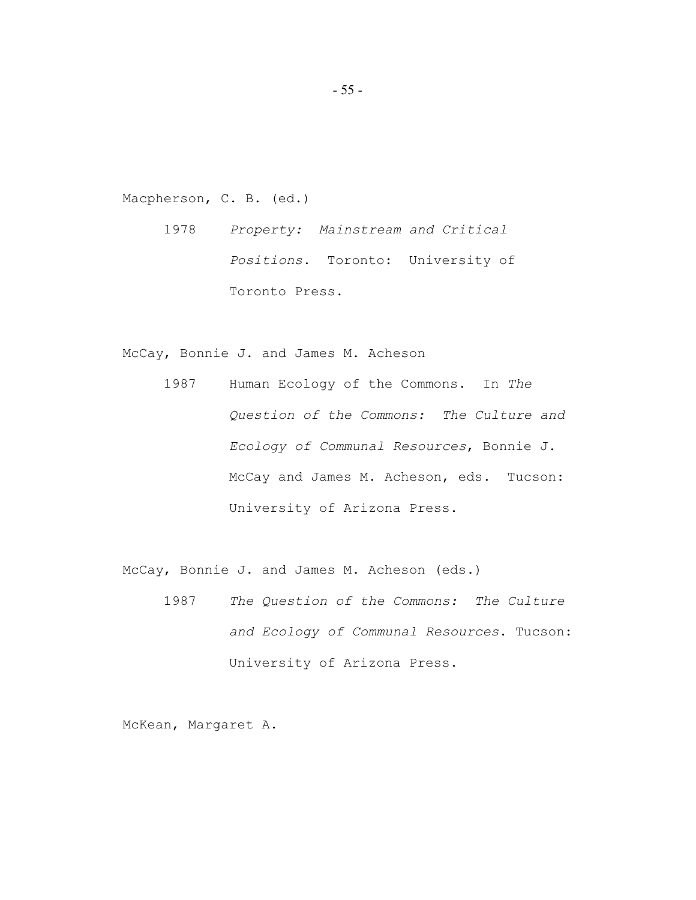Macpherson, C. B. (ed.)

1978 *Property: Mainstream and Critical Positions*. Toronto: University of Toronto Press.

McCay, Bonnie J. and James M. Acheson

1987 Human Ecology of the Commons. In *The Question of the Commons: The Culture and Ecology of Communal Resources*, Bonnie J. McCay and James M. Acheson, eds. Tucson: University of Arizona Press.

McCay, Bonnie J. and James M. Acheson (eds.)

1987 *The Question of the Commons: The Culture and Ecology of Communal Resources*. Tucson: University of Arizona Press.

McKean, Margaret A.

- 55 -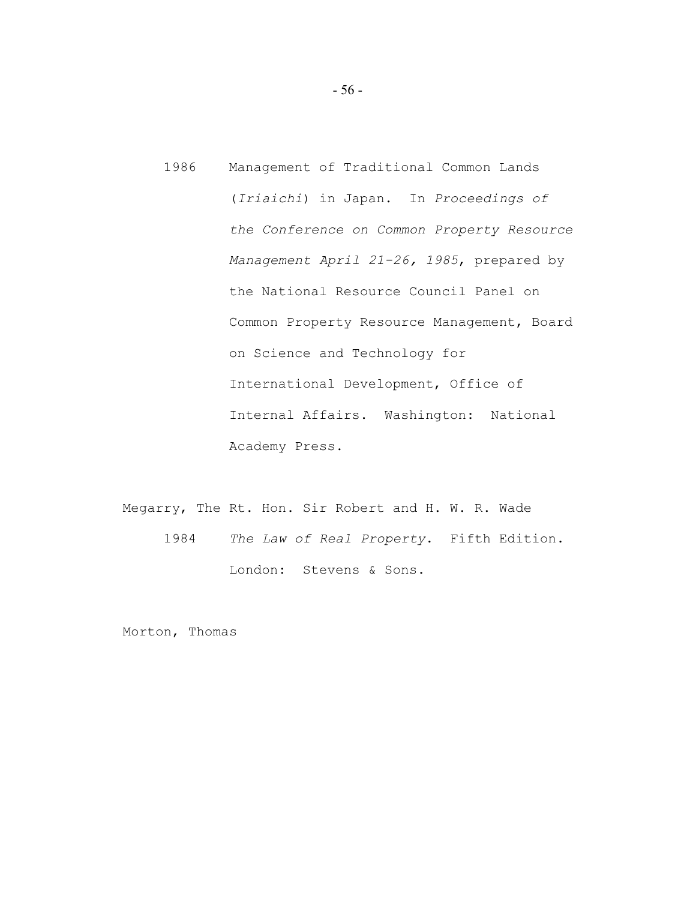- 1986 Management of Traditional Common Lands (*Iriaichi*) in Japan. In *Proceedings of the Conference on Common Property Resource Management April 21-26, 1985*, prepared by the National Resource Council Panel on Common Property Resource Management, Board on Science and Technology for International Development, Office of Internal Affairs. Washington: National Academy Press.
- Megarry, The Rt. Hon. Sir Robert and H. W. R. Wade 1984 *The Law of Real Property*. Fifth Edition. London: Stevens & Sons.

Morton, Thomas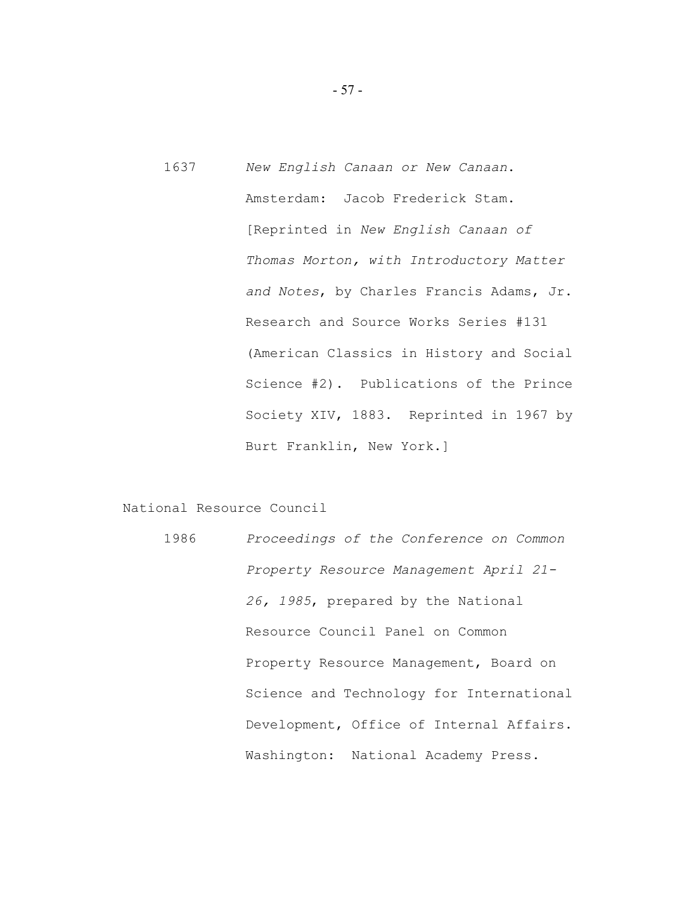1637 *New English Canaan or New Canaan*. Amsterdam: Jacob Frederick Stam. [Reprinted in *New English Canaan of Thomas Morton, with Introductory Matter and Notes*, by Charles Francis Adams, Jr. Research and Source Works Series #131 (American Classics in History and Social Science #2). Publications of the Prince Society XIV, 1883. Reprinted in 1967 by Burt Franklin, New York.]

National Resource Council

1986 *Proceedings of the Conference on Common Property Resource Management April 21- 26, 1985*, prepared by the National Resource Council Panel on Common Property Resource Management, Board on Science and Technology for International Development, Office of Internal Affairs. Washington: National Academy Press.

- 57 -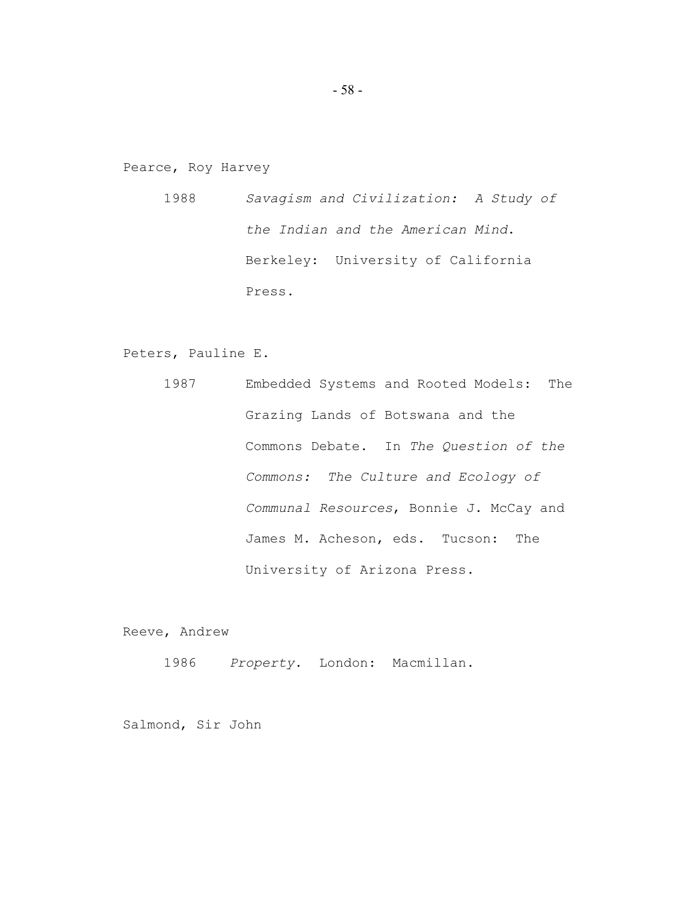Pearce, Roy Harvey

1988 *Savagism and Civilization: A Study of the Indian and the American Mind*. Berkeley: University of California Press.

Peters, Pauline E.

1987 Embedded Systems and Rooted Models: The Grazing Lands of Botswana and the Commons Debate. In *The Question of the Commons: The Culture and Ecology of Communal Resources*, Bonnie J. McCay and James M. Acheson, eds. Tucson: The University of Arizona Press.

Reeve, Andrew

1986 *Property*. London: Macmillan.

Salmond, Sir John